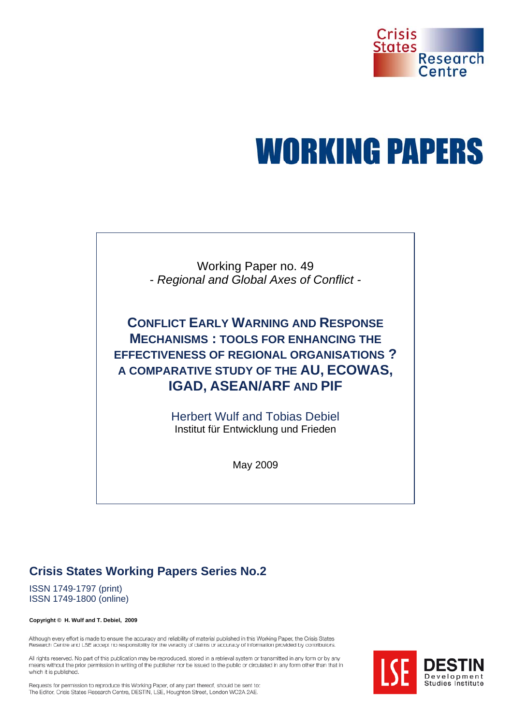

# **WORKING PAPERS**

Working Paper no. 49 - *Regional and Global Axes of Conflict -* 

**CONFLICT EARLY WARNING AND RESPONSE MECHANISMS : TOOLS FOR ENHANCING THE EFFECTIVENESS OF REGIONAL ORGANISATIONS ? A COMPARATIVE STUDY OF THE AU, ECOWAS, IGAD, ASEAN/ARF AND PIF**

> Herbert Wulf and Tobias Debiel Institut für Entwicklung und Frieden

> > May 2009

## **Crisis States Working Papers Series No.2**

ISSN 1749-1797 (print) ISSN 1749-1800 (online)

#### **Copyright © H. Wulf and T. Debiel, 2009**

Although every effort is made to ensure the accuracy and reliability of material published in this Working Paper, the Crisis States Research Centre and LSE accept no responsibility for the veracity of claims or accuracy of information provided by contributors.

All rights reserved. No part of this publication may be reproduced, stored in a retrieval system or transmitted in any form or by any means without the prior permission in writing of the publisher nor be issued to the public or circulated in any form other than that in which it is published.



Requests for permission to reproduce this Working Paper, of any part thereof, should be sent to: The Editor, Crisis States Research Centre, DESTIN, LSE, Houghton Street, London WC2A 2AE.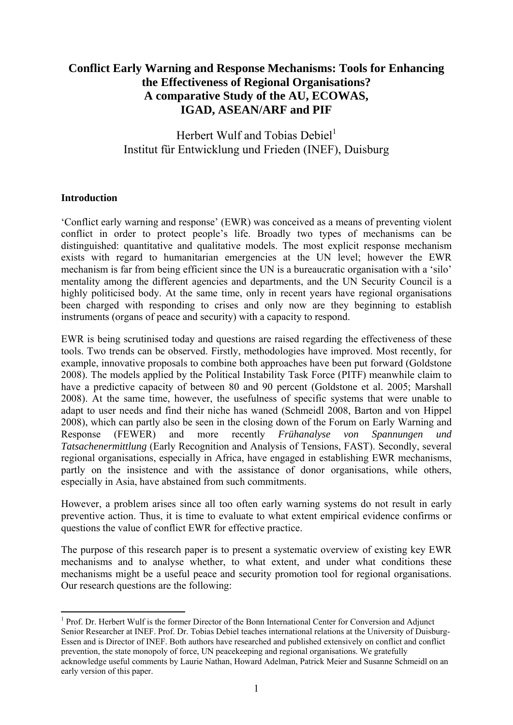#### **Conflict Early Warning and Response Mechanisms: Tools for Enhancing the Effectiveness of Regional Organisations? A comparative Study of the AU, ECOWAS, IGAD, ASEAN/ARF and PIF**

### Herbert Wulf and Tobias Debiel $<sup>1</sup>$ </sup> Institut für Entwicklung und Frieden (INEF), Duisburg

#### **Introduction**

'Conflict early warning and response' (EWR) was conceived as a means of preventing violent conflict in order to protect people's life. Broadly two types of mechanisms can be distinguished: quantitative and qualitative models. The most explicit response mechanism exists with regard to humanitarian emergencies at the UN level; however the EWR mechanism is far from being efficient since the UN is a bureaucratic organisation with a 'silo' mentality among the different agencies and departments, and the UN Security Council is a highly politicised body. At the same time, only in recent years have regional organisations been charged with responding to crises and only now are they beginning to establish instruments (organs of peace and security) with a capacity to respond.

EWR is being scrutinised today and questions are raised regarding the effectiveness of these tools. Two trends can be observed. Firstly, methodologies have improved. Most recently, for example, innovative proposals to combine both approaches have been put forward (Goldstone 2008). The models applied by the Political Instability Task Force (PITF) meanwhile claim to have a predictive capacity of between 80 and 90 percent (Goldstone et al. 2005; Marshall 2008). At the same time, however, the usefulness of specific systems that were unable to adapt to user needs and find their niche has waned (Schmeidl 2008, Barton and von Hippel 2008), which can partly also be seen in the closing down of the Forum on Early Warning and Response (FEWER) and more recently *Frühanalyse von Spannungen und Tatsachenermittlung* (Early Recognition and Analysis of Tensions, FAST). Secondly, several regional organisations, especially in Africa, have engaged in establishing EWR mechanisms, partly on the insistence and with the assistance of donor organisations, while others, especially in Asia, have abstained from such commitments.

However, a problem arises since all too often early warning systems do not result in early preventive action. Thus, it is time to evaluate to what extent empirical evidence confirms or questions the value of conflict EWR for effective practice.

The purpose of this research paper is to present a systematic overview of existing key EWR mechanisms and to analyse whether, to what extent, and under what conditions these mechanisms might be a useful peace and security promotion tool for regional organisations. Our research questions are the following:

<sup>1</sup> <sup>1</sup> Prof. Dr. Herbert Wulf is the former Director of the Bonn International Center for Conversion and Adjunct Senior Researcher at INEF. Prof. Dr. Tobias Debiel teaches international relations at the University of Duisburg-Essen and is Director of INEF. Both authors have researched and published extensively on conflict and conflict prevention, the state monopoly of force, UN peacekeeping and regional organisations. We gratefully acknowledge useful comments by Laurie Nathan, Howard Adelman, Patrick Meier and Susanne Schmeidl on an early version of this paper.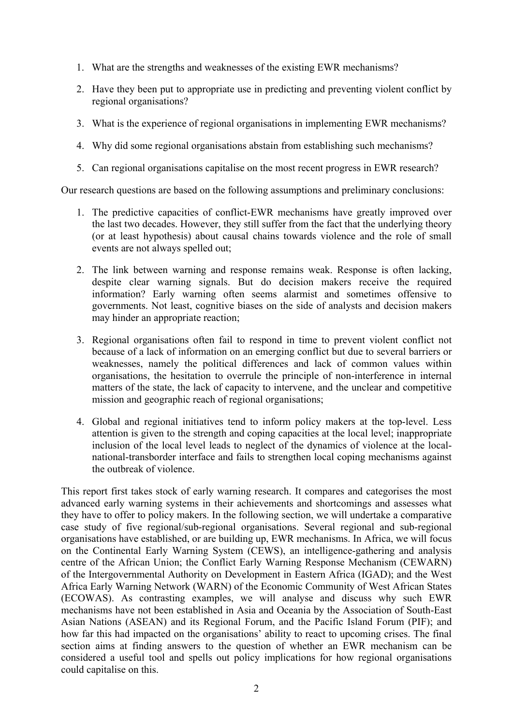- 1. What are the strengths and weaknesses of the existing EWR mechanisms?
- 2. Have they been put to appropriate use in predicting and preventing violent conflict by regional organisations?
- 3. What is the experience of regional organisations in implementing EWR mechanisms?
- 4. Why did some regional organisations abstain from establishing such mechanisms?
- 5. Can regional organisations capitalise on the most recent progress in EWR research?

Our research questions are based on the following assumptions and preliminary conclusions:

- 1. The predictive capacities of conflict-EWR mechanisms have greatly improved over the last two decades. However, they still suffer from the fact that the underlying theory (or at least hypothesis) about causal chains towards violence and the role of small events are not always spelled out;
- 2. The link between warning and response remains weak. Response is often lacking, despite clear warning signals. But do decision makers receive the required information? Early warning often seems alarmist and sometimes offensive to governments. Not least, cognitive biases on the side of analysts and decision makers may hinder an appropriate reaction;
- 3. Regional organisations often fail to respond in time to prevent violent conflict not because of a lack of information on an emerging conflict but due to several barriers or weaknesses, namely the political differences and lack of common values within organisations, the hesitation to overrule the principle of non-interference in internal matters of the state, the lack of capacity to intervene, and the unclear and competitive mission and geographic reach of regional organisations;
- 4. Global and regional initiatives tend to inform policy makers at the top-level. Less attention is given to the strength and coping capacities at the local level; inappropriate inclusion of the local level leads to neglect of the dynamics of violence at the localnational-transborder interface and fails to strengthen local coping mechanisms against the outbreak of violence.

This report first takes stock of early warning research. It compares and categorises the most advanced early warning systems in their achievements and shortcomings and assesses what they have to offer to policy makers. In the following section, we will undertake a comparative case study of five regional/sub-regional organisations. Several regional and sub-regional organisations have established, or are building up, EWR mechanisms. In Africa, we will focus on the Continental Early Warning System (CEWS), an intelligence-gathering and analysis centre of the African Union; the Conflict Early Warning Response Mechanism (CEWARN) of the Intergovernmental Authority on Development in Eastern Africa (IGAD); and the West Africa Early Warning Network (WARN) of the Economic Community of West African States (ECOWAS). As contrasting examples, we will analyse and discuss why such EWR mechanisms have not been established in Asia and Oceania by the Association of South-East Asian Nations (ASEAN) and its Regional Forum, and the Pacific Island Forum (PIF); and how far this had impacted on the organisations' ability to react to upcoming crises. The final section aims at finding answers to the question of whether an EWR mechanism can be considered a useful tool and spells out policy implications for how regional organisations could capitalise on this.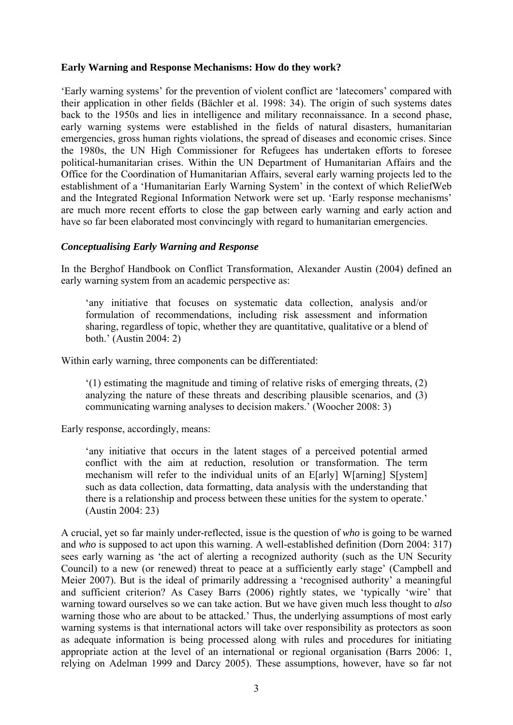#### **Early Warning and Response Mechanisms: How do they work?**

'Early warning systems' for the prevention of violent conflict are 'latecomers' compared with their application in other fields (Bächler et al. 1998: 34). The origin of such systems dates back to the 1950s and lies in intelligence and military reconnaissance. In a second phase, early warning systems were established in the fields of natural disasters, humanitarian emergencies, gross human rights violations, the spread of diseases and economic crises. Since the 1980s, the UN High Commissioner for Refugees has undertaken efforts to foresee political-humanitarian crises. Within the UN Department of Humanitarian Affairs and the Office for the Coordination of Humanitarian Affairs, several early warning projects led to the establishment of a 'Humanitarian Early Warning System' in the context of which ReliefWeb and the Integrated Regional Information Network were set up. 'Early response mechanisms' are much more recent efforts to close the gap between early warning and early action and have so far been elaborated most convincingly with regard to humanitarian emergencies.

#### *Conceptualising Early Warning and Response*

In the Berghof Handbook on Conflict Transformation, Alexander Austin (2004) defined an early warning system from an academic perspective as:

'any initiative that focuses on systematic data collection, analysis and/or formulation of recommendations, including risk assessment and information sharing, regardless of topic, whether they are quantitative, qualitative or a blend of both.' (Austin 2004: 2)

Within early warning, three components can be differentiated:

'(1) estimating the magnitude and timing of relative risks of emerging threats, (2) analyzing the nature of these threats and describing plausible scenarios, and (3) communicating warning analyses to decision makers.' (Woocher 2008: 3)

Early response, accordingly, means:

'any initiative that occurs in the latent stages of a perceived potential armed conflict with the aim at reduction, resolution or transformation. The term mechanism will refer to the individual units of an E[arly] W[arning] S[ystem] such as data collection, data formatting, data analysis with the understanding that there is a relationship and process between these unities for the system to operate.' (Austin 2004: 23)

A crucial, yet so far mainly under-reflected, issue is the question of *who* is going to be warned and *who* is supposed to act upon this warning. A well-established definition (Dorn 2004: 317) sees early warning as 'the act of alerting a recognized authority (such as the UN Security Council) to a new (or renewed) threat to peace at a sufficiently early stage' (Campbell and Meier 2007). But is the ideal of primarily addressing a 'recognised authority' a meaningful and sufficient criterion? As Casey Barrs (2006) rightly states, we 'typically 'wire' that warning toward ourselves so we can take action. But we have given much less thought to *also* warning those who are about to be attacked.' Thus, the underlying assumptions of most early warning systems is that international actors will take over responsibility as protectors as soon as adequate information is being processed along with rules and procedures for initiating appropriate action at the level of an international or regional organisation (Barrs 2006: 1, relying on Adelman 1999 and Darcy 2005). These assumptions, however, have so far not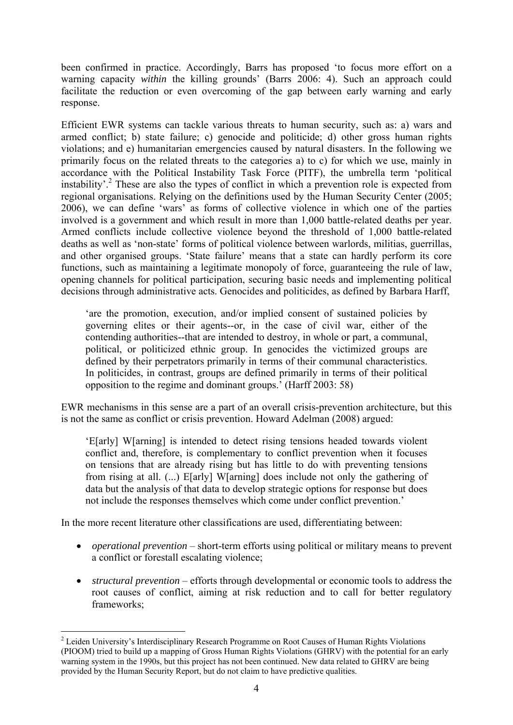been confirmed in practice. Accordingly, Barrs has proposed 'to focus more effort on a warning capacity *within* the killing grounds' (Barrs 2006: 4). Such an approach could facilitate the reduction or even overcoming of the gap between early warning and early response.

Efficient EWR systems can tackle various threats to human security, such as: a) wars and armed conflict; b) state failure; c) genocide and politicide; d) other gross human rights violations; and e) humanitarian emergencies caused by natural disasters. In the following we primarily focus on the related threats to the categories a) to c) for which we use, mainly in accordance with the Political Instability Task Force (PITF), the umbrella term 'political instability'.<sup>2</sup> These are also the types of conflict in which a prevention role is expected from regional organisations. Relying on the definitions used by the Human Security Center (2005; 2006), we can define 'wars' as forms of collective violence in which one of the parties involved is a government and which result in more than 1,000 battle-related deaths per year. Armed conflicts include collective violence beyond the threshold of 1,000 battle-related deaths as well as 'non-state' forms of political violence between warlords, militias, guerrillas, and other organised groups. 'State failure' means that a state can hardly perform its core functions, such as maintaining a legitimate monopoly of force, guaranteeing the rule of law, opening channels for political participation, securing basic needs and implementing political decisions through administrative acts. Genocides and politicides, as defined by Barbara Harff,

'are the promotion, execution, and/or implied consent of sustained policies by governing elites or their agents--or, in the case of civil war, either of the contending authorities--that are intended to destroy, in whole or part, a communal, political, or politicized ethnic group. In genocides the victimized groups are defined by their perpetrators primarily in terms of their communal characteristics. In politicides, in contrast, groups are defined primarily in terms of their political opposition to the regime and dominant groups.' (Harff 2003: 58)

EWR mechanisms in this sense are a part of an overall crisis-prevention architecture, but this is not the same as conflict or crisis prevention. Howard Adelman (2008) argued:

'E[arly] W[arning] is intended to detect rising tensions headed towards violent conflict and, therefore, is complementary to conflict prevention when it focuses on tensions that are already rising but has little to do with preventing tensions from rising at all. (...) E[arly] W[arning] does include not only the gathering of data but the analysis of that data to develop strategic options for response but does not include the responses themselves which come under conflict prevention.'

In the more recent literature other classifications are used, differentiating between:

- *operational prevention* short-term efforts using political or military means to prevent a conflict or forestall escalating violence;
- *structural prevention* efforts through developmental or economic tools to address the root causes of conflict, aiming at risk reduction and to call for better regulatory frameworks;

<sup>1</sup> <sup>2</sup> Leiden University's Interdisciplinary Research Programme on Root Causes of Human Rights Violations (PIOOM) tried to build up a mapping of Gross Human Rights Violations (GHRV) with the potential for an early warning system in the 1990s, but this project has not been continued. New data related to GHRV are being provided by the Human Security Report, but do not claim to have predictive qualities.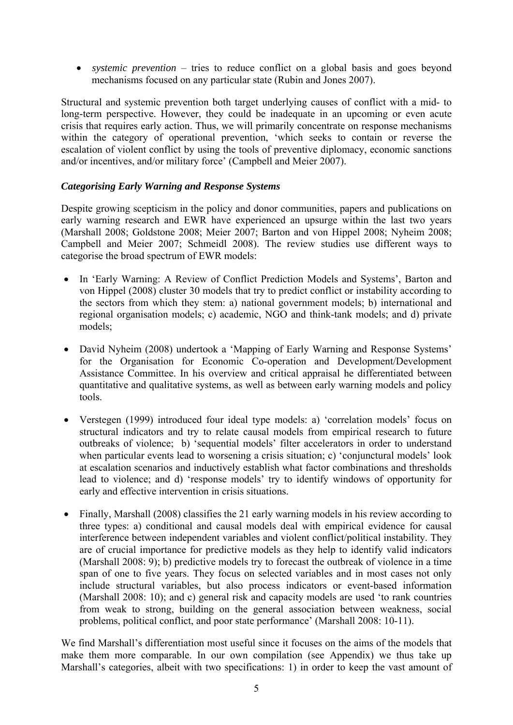• *systemic prevention* – tries to reduce conflict on a global basis and goes beyond mechanisms focused on any particular state (Rubin and Jones 2007).

Structural and systemic prevention both target underlying causes of conflict with a mid- to long-term perspective. However, they could be inadequate in an upcoming or even acute crisis that requires early action. Thus, we will primarily concentrate on response mechanisms within the category of operational prevention, 'which seeks to contain or reverse the escalation of violent conflict by using the tools of preventive diplomacy, economic sanctions and/or incentives, and/or military force' (Campbell and Meier 2007).

#### *Categorising Early Warning and Response Systems*

Despite growing scepticism in the policy and donor communities, papers and publications on early warning research and EWR have experienced an upsurge within the last two years (Marshall 2008; Goldstone 2008; Meier 2007; Barton and von Hippel 2008; Nyheim 2008; Campbell and Meier 2007; Schmeidl 2008). The review studies use different ways to categorise the broad spectrum of EWR models:

- In 'Early Warning: A Review of Conflict Prediction Models and Systems', Barton and von Hippel (2008) cluster 30 models that try to predict conflict or instability according to the sectors from which they stem: a) national government models; b) international and regional organisation models; c) academic, NGO and think-tank models; and d) private models;
- David Nyheim (2008) undertook a 'Mapping of Early Warning and Response Systems' for the Organisation for Economic Co-operation and Development/Development Assistance Committee. In his overview and critical appraisal he differentiated between quantitative and qualitative systems, as well as between early warning models and policy tools.
- Verstegen (1999) introduced four ideal type models: a) 'correlation models' focus on structural indicators and try to relate causal models from empirical research to future outbreaks of violence; b) 'sequential models' filter accelerators in order to understand when particular events lead to worsening a crisis situation; c) 'conjunctural models' look at escalation scenarios and inductively establish what factor combinations and thresholds lead to violence; and d) 'response models' try to identify windows of opportunity for early and effective intervention in crisis situations.
- Finally, Marshall (2008) classifies the 21 early warning models in his review according to three types: a) conditional and causal models deal with empirical evidence for causal interference between independent variables and violent conflict/political instability. They are of crucial importance for predictive models as they help to identify valid indicators (Marshall 2008: 9); b) predictive models try to forecast the outbreak of violence in a time span of one to five years. They focus on selected variables and in most cases not only include structural variables, but also process indicators or event-based information (Marshall 2008: 10); and c) general risk and capacity models are used 'to rank countries from weak to strong, building on the general association between weakness, social problems, political conflict, and poor state performance' (Marshall 2008: 10-11).

We find Marshall's differentiation most useful since it focuses on the aims of the models that make them more comparable. In our own compilation (see Appendix) we thus take up Marshall's categories, albeit with two specifications: 1) in order to keep the vast amount of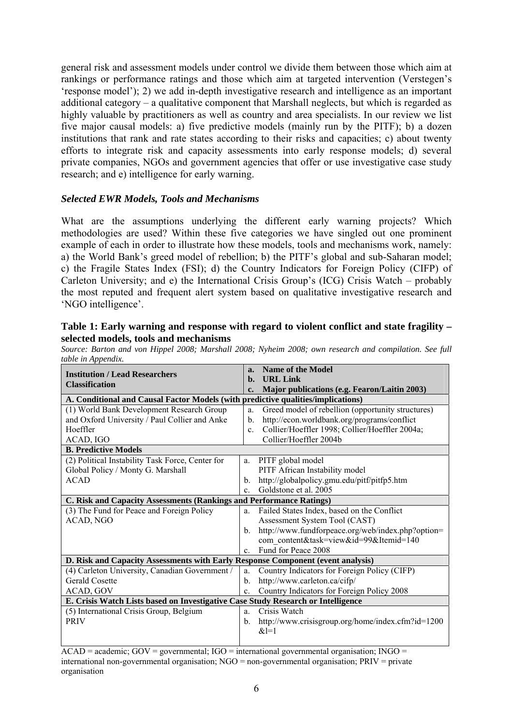general risk and assessment models under control we divide them between those which aim at rankings or performance ratings and those which aim at targeted intervention (Verstegen's 'response model'); 2) we add in-depth investigative research and intelligence as an important additional category – a qualitative component that Marshall neglects, but which is regarded as highly valuable by practitioners as well as country and area specialists. In our review we list five major causal models: a) five predictive models (mainly run by the PITF); b) a dozen institutions that rank and rate states according to their risks and capacities; c) about twenty efforts to integrate risk and capacity assessments into early response models; d) several private companies, NGOs and government agencies that offer or use investigative case study research; and e) intelligence for early warning.

#### *Selected EWR Models, Tools and Mechanisms*

What are the assumptions underlying the different early warning projects? Which methodologies are used? Within these five categories we have singled out one prominent example of each in order to illustrate how these models, tools and mechanisms work, namely: a) the World Bank's greed model of rebellion; b) the PITF's global and sub-Saharan model; c) the Fragile States Index (FSI); d) the Country Indicators for Foreign Policy (CIFP) of Carleton University; and e) the International Crisis Group's (ICG) Crisis Watch – probably the most reputed and frequent alert system based on qualitative investigative research and 'NGO intelligence'.

#### **Table 1: Early warning and response with regard to violent conflict and state fragility – selected models, tools and mechanisms**

|                    |  |  |  |  |  |  | Source: Barton and von Hippel 2008; Marshall 2008; Nyheim 2008; own research and compilation. See full |  |
|--------------------|--|--|--|--|--|--|--------------------------------------------------------------------------------------------------------|--|
| table in Appendix. |  |  |  |  |  |  |                                                                                                        |  |

| <b>Institution / Lead Researchers</b>                                            | a.<br>b.       | Name of the Model<br><b>URL Link</b>              |
|----------------------------------------------------------------------------------|----------------|---------------------------------------------------|
| <b>Classification</b>                                                            | c.             | Major publications (e.g. Fearon/Laitin 2003)      |
| A. Conditional and Causal Factor Models (with predictive qualities/implications) |                |                                                   |
| (1) World Bank Development Research Group                                        | a.             | Greed model of rebellion (opportunity structures) |
| and Oxford University / Paul Collier and Anke                                    | $\mathbf{b}$ . | http://econ.worldbank.org/programs/conflict       |
| Hoeffler                                                                         | $\mathbf{c}$ . | Collier/Hoeffler 1998; Collier/Hoeffler 2004a;    |
| ACAD, IGO                                                                        |                | Collier/Hoeffler 2004b                            |
| <b>B. Predictive Models</b>                                                      |                |                                                   |
| (2) Political Instability Task Force, Center for                                 | a.             | PITF global model                                 |
| Global Policy / Monty G. Marshall                                                |                | PITF African Instability model                    |
| <b>ACAD</b>                                                                      | $\mathbf{b}$ . | http://globalpolicy.gmu.edu/pitf/pitfp5.htm       |
|                                                                                  | $\mathbf{c}$   | Goldstone et al. 2005                             |
| C. Risk and Capacity Assessments (Rankings and Performance Ratings)              |                |                                                   |
| (3) The Fund for Peace and Foreign Policy                                        | a.             | Failed States Index, based on the Conflict        |
| ACAD, NGO                                                                        |                | Assessment System Tool (CAST)                     |
|                                                                                  | $\mathbf{b}$ . | http://www.fundforpeace.org/web/index.php?option= |
|                                                                                  |                | com content&task=view&id=99&Itemid=140            |
|                                                                                  | $\mathbf{c}$   | Fund for Peace 2008                               |
| D. Risk and Capacity Assessments with Early Response Component (event analysis)  |                |                                                   |
| (4) Carleton University, Canadian Government /                                   | a.             | Country Indicators for Foreign Policy (CIFP)      |
| <b>Gerald Cosette</b>                                                            | $\mathbf{b}$ . | http://www.carleton.ca/cifp/                      |
| ACAD, GOV                                                                        | c.             | Country Indicators for Foreign Policy 2008        |
| E. Crisis Watch Lists based on Investigative Case Study Research or Intelligence |                |                                                   |
| (5) International Crisis Group, Belgium                                          | a.             | Crisis Watch                                      |
| <b>PRIV</b>                                                                      | $b_{1}$        | http://www.crisisgroup.org/home/index.cfm?id=1200 |
|                                                                                  |                | $&1=1$                                            |
|                                                                                  |                |                                                   |

 $\overline{ACAD}$  = academic;  $GOV$  = governmental;  $IGO$  = international governmental organisation; INGO = international non-governmental organisation; NGO = non-governmental organisation; PRIV = private organisation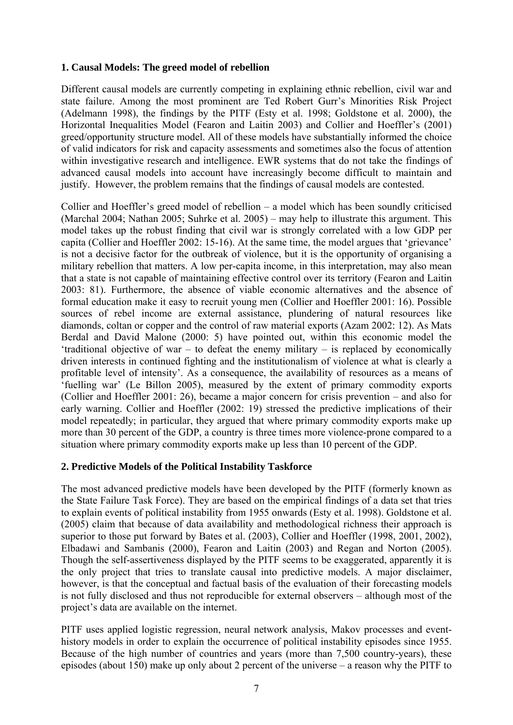#### **1. Causal Models: The greed model of rebellion**

Different causal models are currently competing in explaining ethnic rebellion, civil war and state failure. Among the most prominent are Ted Robert Gurr's Minorities Risk Project (Adelmann 1998), the findings by the PITF (Esty et al. 1998; Goldstone et al. 2000), the Horizontal Inequalities Model (Fearon and Laitin 2003) and Collier and Hoeffler's (2001) greed/opportunity structure model. All of these models have substantially informed the choice of valid indicators for risk and capacity assessments and sometimes also the focus of attention within investigative research and intelligence. EWR systems that do not take the findings of advanced causal models into account have increasingly become difficult to maintain and justify. However, the problem remains that the findings of causal models are contested.

Collier and Hoeffler's greed model of rebellion – a model which has been soundly criticised (Marchal 2004; Nathan 2005; Suhrke et al. 2005) – may help to illustrate this argument. This model takes up the robust finding that civil war is strongly correlated with a low GDP per capita (Collier and Hoeffler 2002: 15-16). At the same time, the model argues that 'grievance' is not a decisive factor for the outbreak of violence, but it is the opportunity of organising a military rebellion that matters. A low per-capita income, in this interpretation, may also mean that a state is not capable of maintaining effective control over its territory (Fearon and Laitin 2003: 81). Furthermore, the absence of viable economic alternatives and the absence of formal education make it easy to recruit young men (Collier and Hoeffler 2001: 16). Possible sources of rebel income are external assistance, plundering of natural resources like diamonds, coltan or copper and the control of raw material exports (Azam 2002: 12). As Mats Berdal and David Malone (2000: 5) have pointed out, within this economic model the 'traditional objective of war – to defeat the enemy military – is replaced by economically driven interests in continued fighting and the institutionalism of violence at what is clearly a profitable level of intensity'. As a consequence, the availability of resources as a means of 'fuelling war' (Le Billon 2005), measured by the extent of primary commodity exports (Collier and Hoeffler 2001: 26), became a major concern for crisis prevention – and also for early warning. Collier and Hoeffler (2002: 19) stressed the predictive implications of their model repeatedly; in particular, they argued that where primary commodity exports make up more than 30 percent of the GDP, a country is three times more violence-prone compared to a situation where primary commodity exports make up less than 10 percent of the GDP.

#### **2. Predictive Models of the Political Instability Taskforce**

The most advanced predictive models have been developed by the PITF (formerly known as the State Failure Task Force). They are based on the empirical findings of a data set that tries to explain events of political instability from 1955 onwards (Esty et al. 1998). Goldstone et al. (2005) claim that because of data availability and methodological richness their approach is superior to those put forward by Bates et al. (2003), Collier and Hoeffler (1998, 2001, 2002), Elbadawi and Sambanis (2000), Fearon and Laitin (2003) and Regan and Norton (2005). Though the self-assertiveness displayed by the PITF seems to be exaggerated, apparently it is the only project that tries to translate causal into predictive models. A major disclaimer, however, is that the conceptual and factual basis of the evaluation of their forecasting models is not fully disclosed and thus not reproducible for external observers – although most of the project's data are available on the internet.

PITF uses applied logistic regression, neural network analysis, Makov processes and eventhistory models in order to explain the occurrence of political instability episodes since 1955. Because of the high number of countries and years (more than 7,500 country-years), these episodes (about 150) make up only about 2 percent of the universe – a reason why the PITF to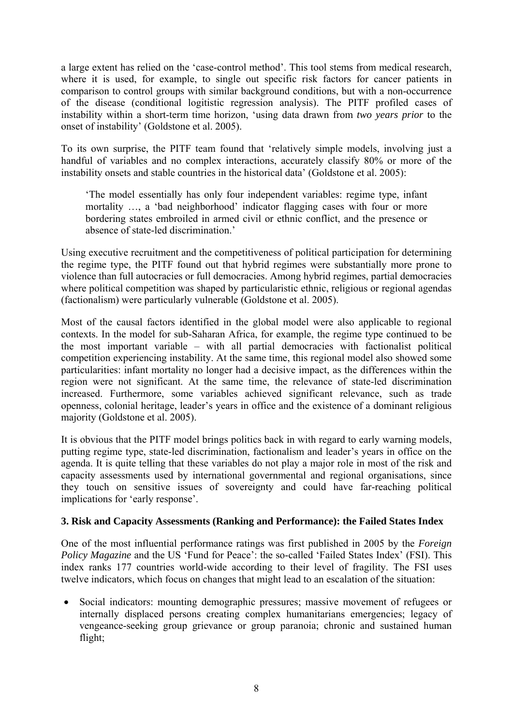a large extent has relied on the 'case-control method'. This tool stems from medical research, where it is used, for example, to single out specific risk factors for cancer patients in comparison to control groups with similar background conditions, but with a non-occurrence of the disease (conditional logitistic regression analysis). The PITF profiled cases of instability within a short-term time horizon, 'using data drawn from *two years prior* to the onset of instability' (Goldstone et al. 2005).

To its own surprise, the PITF team found that 'relatively simple models, involving just a handful of variables and no complex interactions, accurately classify 80% or more of the instability onsets and stable countries in the historical data' (Goldstone et al. 2005):

'The model essentially has only four independent variables: regime type, infant mortality …, a 'bad neighborhood' indicator flagging cases with four or more bordering states embroiled in armed civil or ethnic conflict, and the presence or absence of state-led discrimination.'

Using executive recruitment and the competitiveness of political participation for determining the regime type, the PITF found out that hybrid regimes were substantially more prone to violence than full autocracies or full democracies. Among hybrid regimes, partial democracies where political competition was shaped by particularistic ethnic, religious or regional agendas (factionalism) were particularly vulnerable (Goldstone et al. 2005).

Most of the causal factors identified in the global model were also applicable to regional contexts. In the model for sub-Saharan Africa, for example, the regime type continued to be the most important variable – with all partial democracies with factionalist political competition experiencing instability. At the same time, this regional model also showed some particularities: infant mortality no longer had a decisive impact, as the differences within the region were not significant. At the same time, the relevance of state-led discrimination increased. Furthermore, some variables achieved significant relevance, such as trade openness, colonial heritage, leader's years in office and the existence of a dominant religious majority (Goldstone et al. 2005).

It is obvious that the PITF model brings politics back in with regard to early warning models, putting regime type, state-led discrimination, factionalism and leader's years in office on the agenda. It is quite telling that these variables do not play a major role in most of the risk and capacity assessments used by international governmental and regional organisations, since they touch on sensitive issues of sovereignty and could have far-reaching political implications for 'early response'.

#### **3. Risk and Capacity Assessments (Ranking and Performance): the Failed States Index**

One of the most influential performance ratings was first published in 2005 by the *Foreign Policy Magazine* and the US 'Fund for Peace': the so-called 'Failed States Index' (FSI). This index ranks 177 countries world-wide according to their level of fragility. The FSI uses twelve indicators, which focus on changes that might lead to an escalation of the situation:

• Social indicators: mounting demographic pressures; massive movement of refugees or internally displaced persons creating complex humanitarians emergencies; legacy of vengeance-seeking group grievance or group paranoia; chronic and sustained human flight;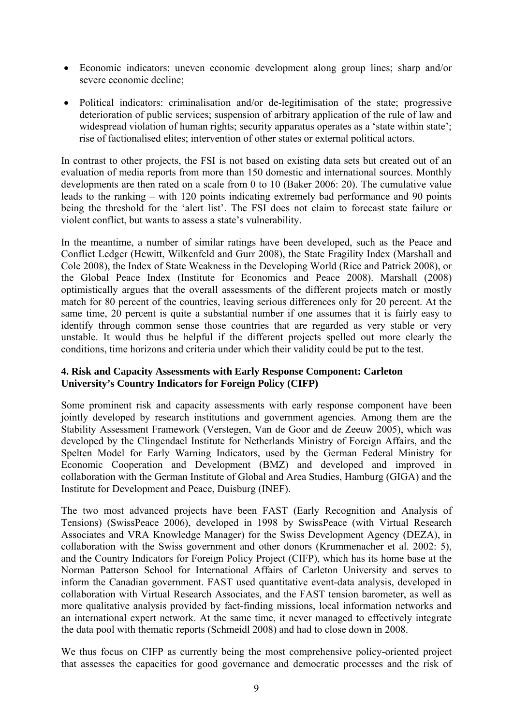- Economic indicators: uneven economic development along group lines; sharp and/or severe economic decline;
- Political indicators: criminalisation and/or de-legitimisation of the state; progressive deterioration of public services; suspension of arbitrary application of the rule of law and widespread violation of human rights; security apparatus operates as a 'state within state'; rise of factionalised elites; intervention of other states or external political actors.

In contrast to other projects, the FSI is not based on existing data sets but created out of an evaluation of media reports from more than 150 domestic and international sources. Monthly developments are then rated on a scale from 0 to 10 (Baker 2006: 20). The cumulative value leads to the ranking – with 120 points indicating extremely bad performance and 90 points being the threshold for the 'alert list'. The FSI does not claim to forecast state failure or violent conflict, but wants to assess a state's vulnerability.

In the meantime, a number of similar ratings have been developed, such as the Peace and Conflict Ledger (Hewitt, Wilkenfeld and Gurr 2008), the State Fragility Index (Marshall and Cole 2008), the Index of State Weakness in the Developing World (Rice and Patrick 2008), or the Global Peace Index (Institute for Economics and Peace 2008). Marshall (2008) optimistically argues that the overall assessments of the different projects match or mostly match for 80 percent of the countries, leaving serious differences only for 20 percent. At the same time, 20 percent is quite a substantial number if one assumes that it is fairly easy to identify through common sense those countries that are regarded as very stable or very unstable. It would thus be helpful if the different projects spelled out more clearly the conditions, time horizons and criteria under which their validity could be put to the test.

#### **4. Risk and Capacity Assessments with Early Response Component: Carleton University's Country Indicators for Foreign Policy (CIFP)**

Some prominent risk and capacity assessments with early response component have been jointly developed by research institutions and government agencies. Among them are the Stability Assessment Framework (Verstegen, Van de Goor and de Zeeuw 2005), which was developed by the Clingendael Institute for Netherlands Ministry of Foreign Affairs, and the Spelten Model for Early Warning Indicators, used by the German Federal Ministry for Economic Cooperation and Development (BMZ) and developed and improved in collaboration with the German Institute of Global and Area Studies, Hamburg (GIGA) and the Institute for Development and Peace, Duisburg (INEF).

The two most advanced projects have been FAST (Early Recognition and Analysis of Tensions) (SwissPeace 2006), developed in 1998 by SwissPeace (with Virtual Research Associates and VRA Knowledge Manager) for the Swiss Development Agency (DEZA), in collaboration with the Swiss government and other donors (Krummenacher et al. 2002: 5), and the Country Indicators for Foreign Policy Project (CIFP), which has its home base at the Norman Patterson School for International Affairs of Carleton University and serves to inform the Canadian government. FAST used quantitative event-data analysis, developed in collaboration with Virtual Research Associates, and the FAST tension barometer, as well as more qualitative analysis provided by fact-finding missions, local information networks and an international expert network. At the same time, it never managed to effectively integrate the data pool with thematic reports (Schmeidl 2008) and had to close down in 2008.

We thus focus on CIFP as currently being the most comprehensive policy-oriented project that assesses the capacities for good governance and democratic processes and the risk of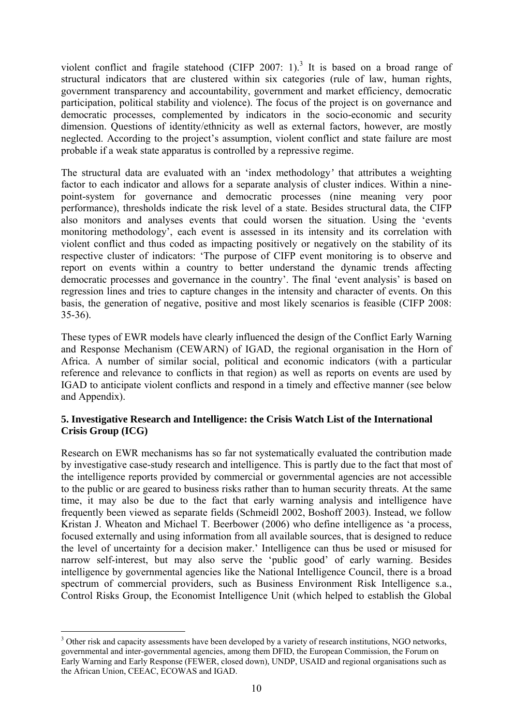violent conflict and fragile statehood (CIFP 2007: 1).<sup>3</sup> It is based on a broad range of structural indicators that are clustered within six categories (rule of law, human rights, government transparency and accountability, government and market efficiency, democratic participation, political stability and violence). The focus of the project is on governance and democratic processes, complemented by indicators in the socio-economic and security dimension. Questions of identity/ethnicity as well as external factors, however, are mostly neglected. According to the project's assumption, violent conflict and state failure are most probable if a weak state apparatus is controlled by a repressive regime.

The structural data are evaluated with an 'index methodology*'* that attributes a weighting factor to each indicator and allows for a separate analysis of cluster indices. Within a ninepoint-system for governance and democratic processes (nine meaning very poor performance), thresholds indicate the risk level of a state. Besides structural data, the CIFP also monitors and analyses events that could worsen the situation. Using the 'events monitoring methodology', each event is assessed in its intensity and its correlation with violent conflict and thus coded as impacting positively or negatively on the stability of its respective cluster of indicators: 'The purpose of CIFP event monitoring is to observe and report on events within a country to better understand the dynamic trends affecting democratic processes and governance in the country'. The final 'event analysis' is based on regression lines and tries to capture changes in the intensity and character of events. On this basis, the generation of negative, positive and most likely scenarios is feasible (CIFP 2008: 35-36).

These types of EWR models have clearly influenced the design of the Conflict Early Warning and Response Mechanism (CEWARN) of IGAD, the regional organisation in the Horn of Africa. A number of similar social, political and economic indicators (with a particular reference and relevance to conflicts in that region) as well as reports on events are used by IGAD to anticipate violent conflicts and respond in a timely and effective manner (see below and Appendix).

#### **5. Investigative Research and Intelligence: the Crisis Watch List of the International Crisis Group (ICG)**

Research on EWR mechanisms has so far not systematically evaluated the contribution made by investigative case-study research and intelligence. This is partly due to the fact that most of the intelligence reports provided by commercial or governmental agencies are not accessible to the public or are geared to business risks rather than to human security threats. At the same time, it may also be due to the fact that early warning analysis and intelligence have frequently been viewed as separate fields (Schmeidl 2002, Boshoff 2003). Instead, we follow Kristan J. Wheaton and Michael T. Beerbower (2006) who define intelligence as 'a process, focused externally and using information from all available sources, that is designed to reduce the level of uncertainty for a decision maker.' Intelligence can thus be used or misused for narrow self-interest, but may also serve the 'public good' of early warning. Besides intelligence by governmental agencies like the National Intelligence Council, there is a broad spectrum of commercial providers, such as Business Environment Risk Intelligence s.a., Control Risks Group, the Economist Intelligence Unit (which helped to establish the Global

<sup>1</sup> <sup>3</sup> Other risk and capacity assessments have been developed by a variety of research institutions, NGO networks, governmental and inter-governmental agencies, among them DFID, the European Commission, the Forum on Early Warning and Early Response (FEWER, closed down), UNDP, USAID and regional organisations such as the African Union, CEEAC, ECOWAS and IGAD.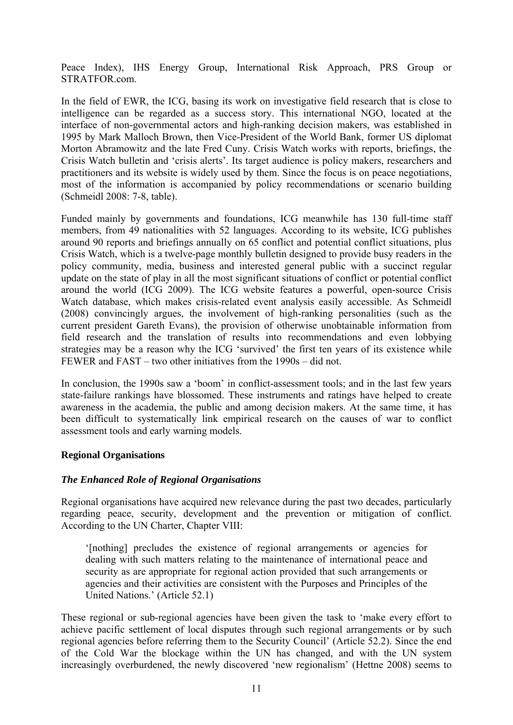Peace Index), IHS Energy Group, International Risk Approach, PRS Group or STRATFOR.com.

In the field of EWR, the ICG, basing its work on investigative field research that is close to intelligence can be regarded as a success story. This international NGO, located at the interface of non-governmental actors and high-ranking decision makers, was established in 1995 by Mark Malloch Brown, then Vice-President of the World Bank, former US diplomat Morton Abramowitz and the late Fred Cuny. Crisis Watch works with reports, briefings, the Crisis Watch bulletin and 'crisis alerts'. Its target audience is policy makers, researchers and practitioners and its website is widely used by them. Since the focus is on peace negotiations, most of the information is accompanied by policy recommendations or scenario building (Schmeidl 2008: 7-8, table).

Funded mainly by governments and foundations, ICG meanwhile has 130 full-time staff members, from 49 nationalities with 52 languages. According to its website, ICG publishes around 90 reports and briefings annually on 65 conflict and potential conflict situations, plus Crisis Watch, which is a twelve-page monthly bulletin designed to provide busy readers in the policy community, media, business and interested general public with a succinct regular update on the state of play in all the most significant situations of conflict or potential conflict around the world (ICG 2009). The ICG website features a powerful, open-source Crisis Watch database, which makes crisis-related event analysis easily accessible. As Schmeidl (2008) convincingly argues, the involvement of high-ranking personalities (such as the current president Gareth Evans), the provision of otherwise unobtainable information from field research and the translation of results into recommendations and even lobbying strategies may be a reason why the ICG 'survived' the first ten years of its existence while FEWER and FAST – two other initiatives from the 1990s – did not.

In conclusion, the 1990s saw a 'boom' in conflict-assessment tools; and in the last few years state-failure rankings have blossomed. These instruments and ratings have helped to create awareness in the academia, the public and among decision makers. At the same time, it has been difficult to systematically link empirical research on the causes of war to conflict assessment tools and early warning models.

#### **Regional Organisations**

#### *The Enhanced Role of Regional Organisations*

Regional organisations have acquired new relevance during the past two decades, particularly regarding peace, security, development and the prevention or mitigation of conflict. According to the UN Charter, Chapter VIII:

'[nothing] precludes the existence of regional arrangements or agencies for dealing with such matters relating to the maintenance of international peace and security as are appropriate for regional action provided that such arrangements or agencies and their activities are consistent with the Purposes and Principles of the United Nations.' (Article 52.1)

These regional or sub-regional agencies have been given the task to 'make every effort to achieve pacific settlement of local disputes through such regional arrangements or by such regional agencies before referring them to the Security Council' (Article 52.2). Since the end of the Cold War the blockage within the UN has changed, and with the UN system increasingly overburdened, the newly discovered 'new regionalism' (Hettne 2008) seems to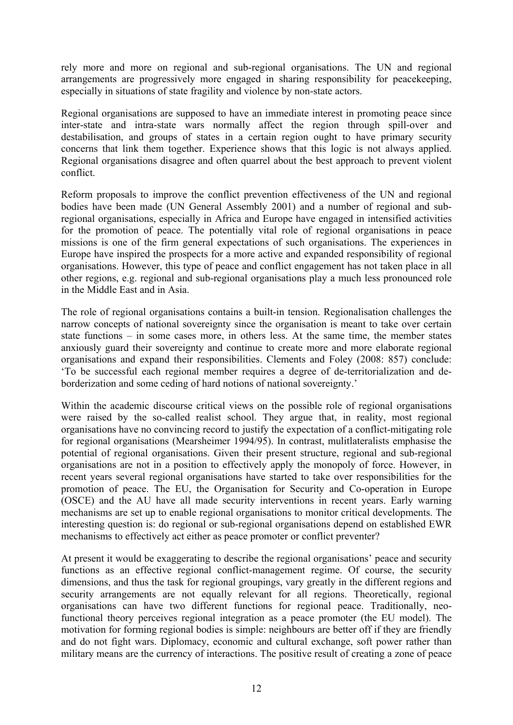rely more and more on regional and sub-regional organisations. The UN and regional arrangements are progressively more engaged in sharing responsibility for peacekeeping, especially in situations of state fragility and violence by non-state actors.

Regional organisations are supposed to have an immediate interest in promoting peace since inter-state and intra-state wars normally affect the region through spill-over and destabilisation, and groups of states in a certain region ought to have primary security concerns that link them together. Experience shows that this logic is not always applied. Regional organisations disagree and often quarrel about the best approach to prevent violent conflict.

Reform proposals to improve the conflict prevention effectiveness of the UN and regional bodies have been made (UN General Assembly 2001) and a number of regional and subregional organisations, especially in Africa and Europe have engaged in intensified activities for the promotion of peace. The potentially vital role of regional organisations in peace missions is one of the firm general expectations of such organisations. The experiences in Europe have inspired the prospects for a more active and expanded responsibility of regional organisations. However, this type of peace and conflict engagement has not taken place in all other regions, e.g. regional and sub-regional organisations play a much less pronounced role in the Middle East and in Asia.

The role of regional organisations contains a built-in tension. Regionalisation challenges the narrow concepts of national sovereignty since the organisation is meant to take over certain state functions – in some cases more, in others less. At the same time, the member states anxiously guard their sovereignty and continue to create more and more elaborate regional organisations and expand their responsibilities. Clements and Foley (2008: 857) conclude: 'To be successful each regional member requires a degree of de-territorialization and deborderization and some ceding of hard notions of national sovereignty.'

Within the academic discourse critical views on the possible role of regional organisations were raised by the so-called realist school. They argue that, in reality, most regional organisations have no convincing record to justify the expectation of a conflict-mitigating role for regional organisations (Mearsheimer 1994/95). In contrast, mulitlateralists emphasise the potential of regional organisations. Given their present structure, regional and sub-regional organisations are not in a position to effectively apply the monopoly of force. However, in recent years several regional organisations have started to take over responsibilities for the promotion of peace. The EU, the Organisation for Security and Co-operation in Europe (OSCE) and the AU have all made security interventions in recent years. Early warning mechanisms are set up to enable regional organisations to monitor critical developments. The interesting question is: do regional or sub-regional organisations depend on established EWR mechanisms to effectively act either as peace promoter or conflict preventer?

At present it would be exaggerating to describe the regional organisations' peace and security functions as an effective regional conflict-management regime. Of course, the security dimensions, and thus the task for regional groupings, vary greatly in the different regions and security arrangements are not equally relevant for all regions. Theoretically, regional organisations can have two different functions for regional peace. Traditionally, neofunctional theory perceives regional integration as a peace promoter (the EU model). The motivation for forming regional bodies is simple: neighbours are better off if they are friendly and do not fight wars. Diplomacy, economic and cultural exchange, soft power rather than military means are the currency of interactions. The positive result of creating a zone of peace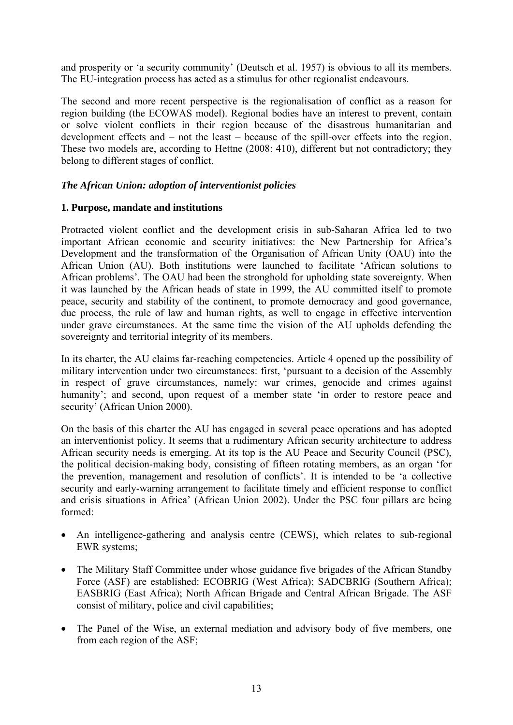and prosperity or 'a security community' (Deutsch et al. 1957) is obvious to all its members. The EU-integration process has acted as a stimulus for other regionalist endeavours.

The second and more recent perspective is the regionalisation of conflict as a reason for region building (the ECOWAS model). Regional bodies have an interest to prevent, contain or solve violent conflicts in their region because of the disastrous humanitarian and development effects and – not the least – because of the spill-over effects into the region. These two models are, according to Hettne (2008: 410), different but not contradictory; they belong to different stages of conflict.

#### *The African Union: adoption of interventionist policies*

#### **1. Purpose, mandate and institutions**

Protracted violent conflict and the development crisis in sub-Saharan Africa led to two important African economic and security initiatives: the New Partnership for Africa's Development and the transformation of the Organisation of African Unity (OAU) into the African Union (AU). Both institutions were launched to facilitate 'African solutions to African problems'. The OAU had been the stronghold for upholding state sovereignty. When it was launched by the African heads of state in 1999, the AU committed itself to promote peace, security and stability of the continent, to promote democracy and good governance, due process, the rule of law and human rights, as well to engage in effective intervention under grave circumstances. At the same time the vision of the AU upholds defending the sovereignty and territorial integrity of its members.

In its charter, the AU claims far-reaching competencies. Article 4 opened up the possibility of military intervention under two circumstances: first, 'pursuant to a decision of the Assembly in respect of grave circumstances, namely: war crimes, genocide and crimes against humanity'; and second, upon request of a member state 'in order to restore peace and security' (African Union 2000).

On the basis of this charter the AU has engaged in several peace operations and has adopted an interventionist policy. It seems that a rudimentary African security architecture to address African security needs is emerging. At its top is the AU Peace and Security Council (PSC), the political decision-making body, consisting of fifteen rotating members, as an organ 'for the prevention, management and resolution of conflicts'. It is intended to be 'a collective security and early-warning arrangement to facilitate timely and efficient response to conflict and crisis situations in Africa' (African Union 2002). Under the PSC four pillars are being formed:

- An intelligence-gathering and analysis centre (CEWS), which relates to sub-regional EWR systems;
- The Military Staff Committee under whose guidance five brigades of the African Standby Force (ASF) are established: ECOBRIG (West Africa); SADCBRIG (Southern Africa); EASBRIG (East Africa); North African Brigade and Central African Brigade. The ASF consist of military, police and civil capabilities;
- The Panel of the Wise, an external mediation and advisory body of five members, one from each region of the ASF;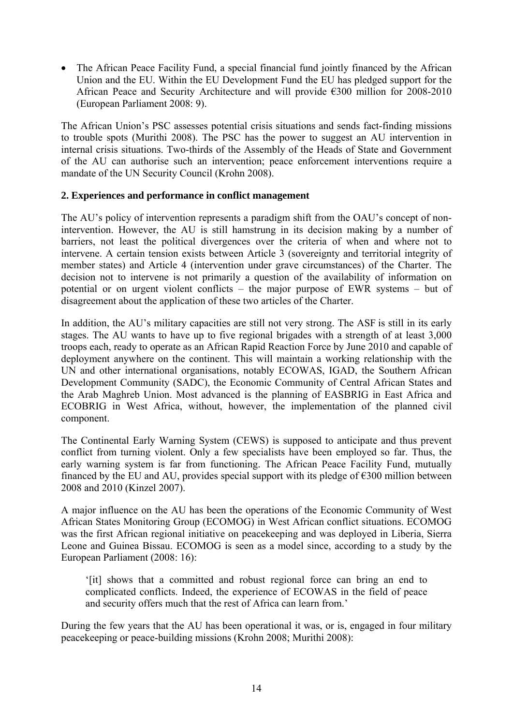The African Peace Facility Fund, a special financial fund jointly financed by the African Union and the EU. Within the EU Development Fund the EU has pledged support for the African Peace and Security Architecture and will provide €300 million for 2008-2010 (European Parliament 2008: 9).

The African Union's PSC assesses potential crisis situations and sends fact-finding missions to trouble spots (Murithi 2008). The PSC has the power to suggest an AU intervention in internal crisis situations. Two-thirds of the Assembly of the Heads of State and Government of the AU can authorise such an intervention; peace enforcement interventions require a mandate of the UN Security Council (Krohn 2008).

#### **2. Experiences and performance in conflict management**

The AU's policy of intervention represents a paradigm shift from the OAU's concept of nonintervention. However, the AU is still hamstrung in its decision making by a number of barriers, not least the political divergences over the criteria of when and where not to intervene. A certain tension exists between Article 3 (sovereignty and territorial integrity of member states) and Article 4 (intervention under grave circumstances) of the Charter. The decision not to intervene is not primarily a question of the availability of information on potential or on urgent violent conflicts – the major purpose of EWR systems – but of disagreement about the application of these two articles of the Charter.

In addition, the AU's military capacities are still not very strong. The ASF is still in its early stages. The AU wants to have up to five regional brigades with a strength of at least 3,000 troops each, ready to operate as an African Rapid Reaction Force by June 2010 and capable of deployment anywhere on the continent. This will maintain a working relationship with the UN and other international organisations, notably ECOWAS, IGAD, the Southern African Development Community (SADC), the Economic Community of Central African States and the Arab Maghreb Union. Most advanced is the planning of EASBRIG in East Africa and ECOBRIG in West Africa, without, however, the implementation of the planned civil component.

The Continental Early Warning System (CEWS) is supposed to anticipate and thus prevent conflict from turning violent. Only a few specialists have been employed so far. Thus, the early warning system is far from functioning. The African Peace Facility Fund, mutually financed by the EU and AU, provides special support with its pledge of  $\epsilon$ 300 million between 2008 and 2010 (Kinzel 2007).

A major influence on the AU has been the operations of the Economic Community of West African States Monitoring Group (ECOMOG) in West African conflict situations. ECOMOG was the first African regional initiative on peacekeeping and was deployed in Liberia, Sierra Leone and Guinea Bissau. ECOMOG is seen as a model since, according to a study by the European Parliament (2008: 16):

'[it] shows that a committed and robust regional force can bring an end to complicated conflicts. Indeed, the experience of ECOWAS in the field of peace and security offers much that the rest of Africa can learn from.'

During the few years that the AU has been operational it was, or is, engaged in four military peacekeeping or peace-building missions (Krohn 2008; Murithi 2008):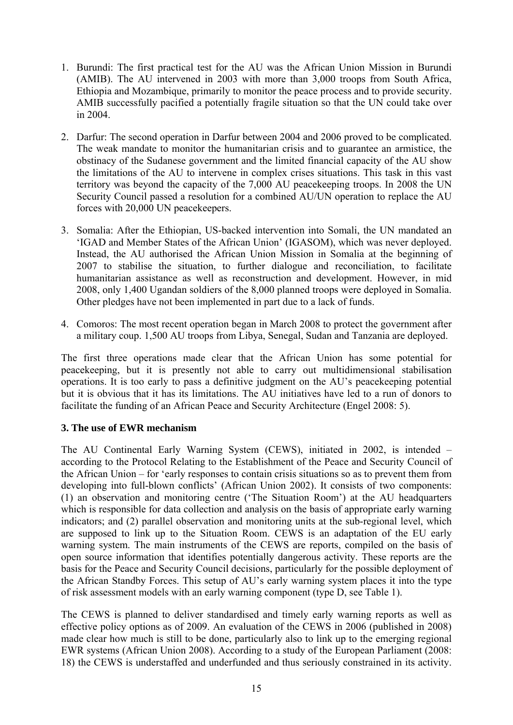- 1. Burundi: The first practical test for the AU was the African Union Mission in Burundi (AMIB). The AU intervened in 2003 with more than 3,000 troops from South Africa, Ethiopia and Mozambique, primarily to monitor the peace process and to provide security. AMIB successfully pacified a potentially fragile situation so that the UN could take over in 2004.
- 2. Darfur: The second operation in Darfur between 2004 and 2006 proved to be complicated. The weak mandate to monitor the humanitarian crisis and to guarantee an armistice, the obstinacy of the Sudanese government and the limited financial capacity of the AU show the limitations of the AU to intervene in complex crises situations. This task in this vast territory was beyond the capacity of the 7,000 AU peacekeeping troops. In 2008 the UN Security Council passed a resolution for a combined AU/UN operation to replace the AU forces with 20,000 UN peacekeepers.
- 3. Somalia: After the Ethiopian, US-backed intervention into Somali, the UN mandated an 'IGAD and Member States of the African Union' (IGASOM), which was never deployed. Instead, the AU authorised the African Union Mission in Somalia at the beginning of 2007 to stabilise the situation, to further dialogue and reconciliation, to facilitate humanitarian assistance as well as reconstruction and development. However, in mid 2008, only 1,400 Ugandan soldiers of the 8,000 planned troops were deployed in Somalia. Other pledges have not been implemented in part due to a lack of funds.
- 4. Comoros: The most recent operation began in March 2008 to protect the government after a military coup. 1,500 AU troops from Libya, Senegal, Sudan and Tanzania are deployed.

The first three operations made clear that the African Union has some potential for peacekeeping, but it is presently not able to carry out multidimensional stabilisation operations. It is too early to pass a definitive judgment on the AU's peacekeeping potential but it is obvious that it has its limitations. The AU initiatives have led to a run of donors to facilitate the funding of an African Peace and Security Architecture (Engel 2008: 5).

#### **3. The use of EWR mechanism**

The AU Continental Early Warning System (CEWS), initiated in 2002, is intended – according to the Protocol Relating to the Establishment of the Peace and Security Council of the African Union – for 'early responses to contain crisis situations so as to prevent them from developing into full-blown conflicts' (African Union 2002). It consists of two components: (1) an observation and monitoring centre ('The Situation Room') at the AU headquarters which is responsible for data collection and analysis on the basis of appropriate early warning indicators; and (2) parallel observation and monitoring units at the sub-regional level, which are supposed to link up to the Situation Room. CEWS is an adaptation of the EU early warning system. The main instruments of the CEWS are reports, compiled on the basis of open source information that identifies potentially dangerous activity. These reports are the basis for the Peace and Security Council decisions, particularly for the possible deployment of the African Standby Forces. This setup of AU's early warning system places it into the type of risk assessment models with an early warning component (type D, see Table 1).

The CEWS is planned to deliver standardised and timely early warning reports as well as effective policy options as of 2009. An evaluation of the CEWS in 2006 (published in 2008) made clear how much is still to be done, particularly also to link up to the emerging regional EWR systems (African Union 2008). According to a study of the European Parliament (2008: 18) the CEWS is understaffed and underfunded and thus seriously constrained in its activity.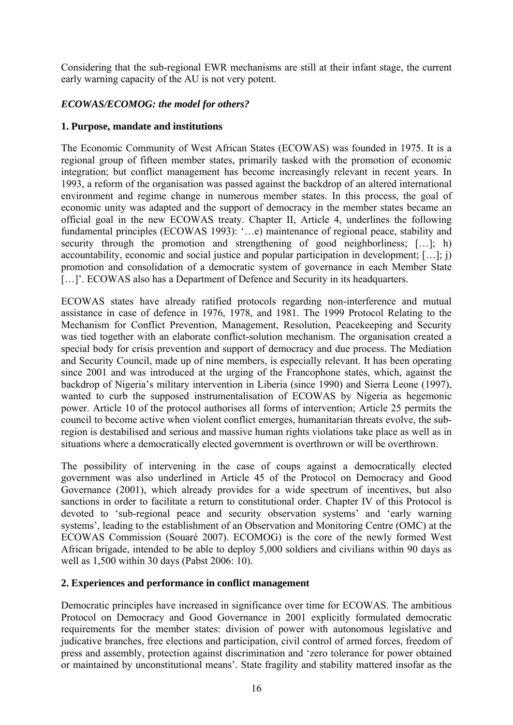Considering that the sub-regional EWR mechanisms are still at their infant stage, the current early warning capacity of the AU is not very potent.

#### *ECOWAS/ECOMOG: the model for others?*

#### **1. Purpose, mandate and institutions**

The Economic Community of West African States (ECOWAS) was founded in 1975. It is a regional group of fifteen member states, primarily tasked with the promotion of economic integration; but conflict management has become increasingly relevant in recent years. In 1993, a reform of the organisation was passed against the backdrop of an altered international environment and regime change in numerous member states. In this process, the goal of economic unity was adapted and the support of democracy in the member states became an official goal in the new ECOWAS treaty. Chapter II, Article 4, underlines the following fundamental principles (ECOWAS 1993): '…e) maintenance of regional peace, stability and security through the promotion and strengthening of good neighborliness; [...]; h) accountability, economic and social justice and popular participation in development; […]; j) promotion and consolidation of a democratic system of governance in each Member State [...]'. ECOWAS also has a Department of Defence and Security in its headquarters.

ECOWAS states have already ratified protocols regarding non-interference and mutual assistance in case of defence in 1976, 1978, and 1981. The 1999 Protocol Relating to the Mechanism for Conflict Prevention, Management, Resolution, Peacekeeping and Security was tied together with an elaborate conflict-solution mechanism. The organisation created a special body for crisis prevention and support of democracy and due process. The Mediation and Security Council, made up of nine members, is especially relevant. It has been operating since 2001 and was introduced at the urging of the Francophone states, which, against the backdrop of Nigeria's military intervention in Liberia (since 1990) and Sierra Leone (1997), wanted to curb the supposed instrumentalisation of ECOWAS by Nigeria as hegemonic power. Article 10 of the protocol authorises all forms of intervention; Article 25 permits the council to become active when violent conflict emerges, humanitarian threats evolve, the subregion is destabilised and serious and massive human rights violations take place as well as in situations where a democratically elected government is overthrown or will be overthrown.

The possibility of intervening in the case of coups against a democratically elected government was also underlined in Article 45 of the Protocol on Democracy and Good Governance (2001), which already provides for a wide spectrum of incentives, but also sanctions in order to facilitate a return to constitutional order. Chapter IV of this Protocol is devoted to 'sub-regional peace and security observation systems' and 'early warning systems', leading to the establishment of an Observation and Monitoring Centre (OMC) at the ECOWAS Commission (Souaré 2007). ECOMOG) is the core of the newly formed West African brigade, intended to be able to deploy 5,000 soldiers and civilians within 90 days as well as 1,500 within 30 days (Pabst 2006: 10).

#### **2. Experiences and performance in conflict management**

Democratic principles have increased in significance over time for ECOWAS. The ambitious Protocol on Democracy and Good Governance in 2001 explicitly formulated democratic requirements for the member states: division of power with autonomous legislative and judicative branches, free elections and participation, civil control of armed forces, freedom of press and assembly, protection against discrimination and 'zero tolerance for power obtained or maintained by unconstitutional means'. State fragility and stability mattered insofar as the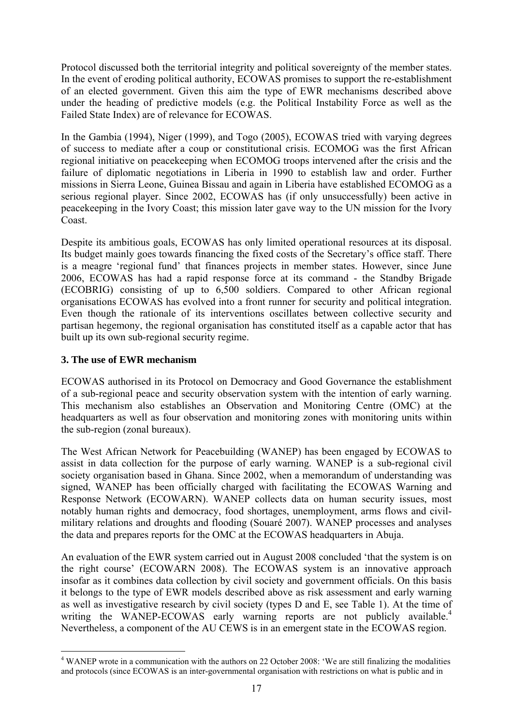Protocol discussed both the territorial integrity and political sovereignty of the member states. In the event of eroding political authority, ECOWAS promises to support the re-establishment of an elected government. Given this aim the type of EWR mechanisms described above under the heading of predictive models (e.g. the Political Instability Force as well as the Failed State Index) are of relevance for ECOWAS.

In the Gambia (1994), Niger (1999), and Togo (2005), ECOWAS tried with varying degrees of success to mediate after a coup or constitutional crisis. ECOMOG was the first African regional initiative on peacekeeping when ECOMOG troops intervened after the crisis and the failure of diplomatic negotiations in Liberia in 1990 to establish law and order. Further missions in Sierra Leone, Guinea Bissau and again in Liberia have established ECOMOG as a serious regional player. Since 2002, ECOWAS has (if only unsuccessfully) been active in peacekeeping in the Ivory Coast; this mission later gave way to the UN mission for the Ivory Coast.

Despite its ambitious goals, ECOWAS has only limited operational resources at its disposal. Its budget mainly goes towards financing the fixed costs of the Secretary's office staff. There is a meagre 'regional fund' that finances projects in member states. However, since June 2006, ECOWAS has had a rapid response force at its command - the Standby Brigade (ECOBRIG) consisting of up to 6,500 soldiers. Compared to other African regional organisations ECOWAS has evolved into a front runner for security and political integration. Even though the rationale of its interventions oscillates between collective security and partisan hegemony, the regional organisation has constituted itself as a capable actor that has built up its own sub-regional security regime.

#### **3. The use of EWR mechanism**

1

ECOWAS authorised in its Protocol on Democracy and Good Governance the establishment of a sub-regional peace and security observation system with the intention of early warning. This mechanism also establishes an Observation and Monitoring Centre (OMC) at the headquarters as well as four observation and monitoring zones with monitoring units within the sub-region (zonal bureaux).

The West African Network for Peacebuilding (WANEP) has been engaged by ECOWAS to assist in data collection for the purpose of early warning. WANEP is a sub-regional civil society organisation based in Ghana. Since 2002, when a memorandum of understanding was signed, WANEP has been officially charged with facilitating the ECOWAS Warning and Response Network (ECOWARN). WANEP collects data on human security issues, most notably human rights and democracy, food shortages, unemployment, arms flows and civilmilitary relations and droughts and flooding (Souaré 2007). WANEP processes and analyses the data and prepares reports for the OMC at the ECOWAS headquarters in Abuja.

An evaluation of the EWR system carried out in August 2008 concluded 'that the system is on the right course' (ECOWARN 2008). The ECOWAS system is an innovative approach insofar as it combines data collection by civil society and government officials. On this basis it belongs to the type of EWR models described above as risk assessment and early warning as well as investigative research by civil society (types D and E, see Table 1). At the time of writing the WANEP-ECOWAS early warning reports are not publicly available.<sup>4</sup> Nevertheless, a component of the AU CEWS is in an emergent state in the ECOWAS region.

<sup>&</sup>lt;sup>4</sup> WANEP wrote in a communication with the authors on 22 October 2008: 'We are still finalizing the modalities and protocols (since ECOWAS is an inter-governmental organisation with restrictions on what is public and in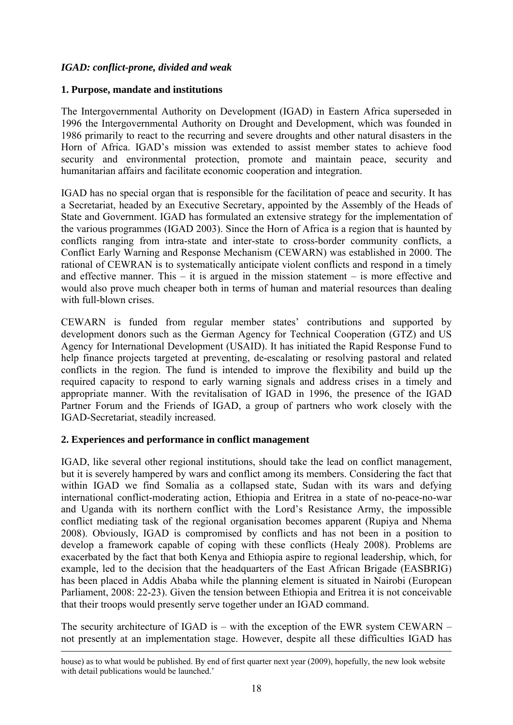#### *IGAD: conflict-prone, divided and weak*

#### **1. Purpose, mandate and institutions**

The Intergovernmental Authority on Development (IGAD) in Eastern Africa superseded in 1996 the Intergovernmental Authority on Drought and Development, which was founded in 1986 primarily to react to the recurring and severe droughts and other natural disasters in the Horn of Africa. IGAD's mission was extended to assist member states to achieve food security and environmental protection, promote and maintain peace, security and humanitarian affairs and facilitate economic cooperation and integration.

IGAD has no special organ that is responsible for the facilitation of peace and security. It has a Secretariat, headed by an Executive Secretary, appointed by the Assembly of the Heads of State and Government. IGAD has formulated an extensive strategy for the implementation of the various programmes (IGAD 2003). Since the Horn of Africa is a region that is haunted by conflicts ranging from intra-state and inter-state to cross-border community conflicts, a Conflict Early Warning and Response Mechanism (CEWARN) was established in 2000. The rational of CEWRAN is to systematically anticipate violent conflicts and respond in a timely and effective manner. This  $-$  it is argued in the mission statement  $-$  is more effective and would also prove much cheaper both in terms of human and material resources than dealing with full-blown crises

CEWARN is funded from regular member states' contributions and supported by development donors such as the German Agency for Technical Cooperation (GTZ) and US Agency for International Development (USAID). It has initiated the Rapid Response Fund to help finance projects targeted at preventing, de-escalating or resolving pastoral and related conflicts in the region. The fund is intended to improve the flexibility and build up the required capacity to respond to early warning signals and address crises in a timely and appropriate manner. With the revitalisation of IGAD in 1996, the presence of the IGAD Partner Forum and the Friends of IGAD, a group of partners who work closely with the IGAD-Secretariat, steadily increased.

#### **2. Experiences and performance in conflict management**

IGAD, like several other regional institutions, should take the lead on conflict management, but it is severely hampered by wars and conflict among its members. Considering the fact that within IGAD we find Somalia as a collapsed state. Sudan with its wars and defying international conflict-moderating action, Ethiopia and Eritrea in a state of no-peace-no-war and Uganda with its northern conflict with the Lord's Resistance Army, the impossible conflict mediating task of the regional organisation becomes apparent (Rupiya and Nhema 2008). Obviously, IGAD is compromised by conflicts and has not been in a position to develop a framework capable of coping with these conflicts (Healy 2008). Problems are exacerbated by the fact that both Kenya and Ethiopia aspire to regional leadership, which, for example, led to the decision that the headquarters of the East African Brigade (EASBRIG) has been placed in Addis Ababa while the planning element is situated in Nairobi (European Parliament, 2008: 22-23). Given the tension between Ethiopia and Eritrea it is not conceivable that their troops would presently serve together under an IGAD command.

The security architecture of IGAD is – with the exception of the EWR system CEWARN – not presently at an implementation stage. However, despite all these difficulties IGAD has

house) as to what would be published. By end of first quarter next year (2009), hopefully, the new look website with detail publications would be launched.'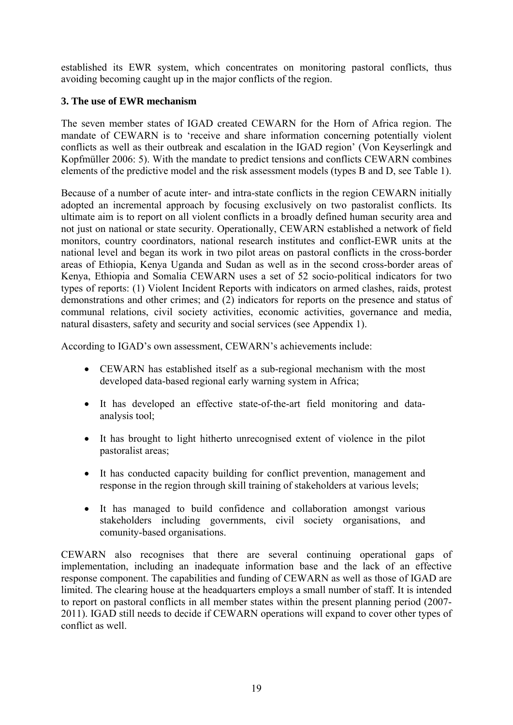established its EWR system, which concentrates on monitoring pastoral conflicts, thus avoiding becoming caught up in the major conflicts of the region.

#### **3. The use of EWR mechanism**

The seven member states of IGAD created CEWARN for the Horn of Africa region. The mandate of CEWARN is to 'receive and share information concerning potentially violent conflicts as well as their outbreak and escalation in the IGAD region' (Von Keyserlingk and Kopfmüller 2006: 5). With the mandate to predict tensions and conflicts CEWARN combines elements of the predictive model and the risk assessment models (types B and D, see Table 1).

Because of a number of acute inter- and intra-state conflicts in the region CEWARN initially adopted an incremental approach by focusing exclusively on two pastoralist conflicts. Its ultimate aim is to report on all violent conflicts in a broadly defined human security area and not just on national or state security. Operationally, CEWARN established a network of field monitors, country coordinators, national research institutes and conflict-EWR units at the national level and began its work in two pilot areas on pastoral conflicts in the cross-border areas of Ethiopia, Kenya Uganda and Sudan as well as in the second cross-border areas of Kenya, Ethiopia and Somalia CEWARN uses a set of 52 socio-political indicators for two types of reports: (1) Violent Incident Reports with indicators on armed clashes, raids, protest demonstrations and other crimes; and (2) indicators for reports on the presence and status of communal relations, civil society activities, economic activities, governance and media, natural disasters, safety and security and social services (see Appendix 1).

According to IGAD's own assessment, CEWARN's achievements include:

- CEWARN has established itself as a sub-regional mechanism with the most developed data-based regional early warning system in Africa;
- It has developed an effective state-of-the-art field monitoring and dataanalysis tool;
- It has brought to light hitherto unrecognised extent of violence in the pilot pastoralist areas;
- It has conducted capacity building for conflict prevention, management and response in the region through skill training of stakeholders at various levels;
- It has managed to build confidence and collaboration amongst various stakeholders including governments, civil society organisations, and comunity-based organisations.

CEWARN also recognises that there are several continuing operational gaps of implementation, including an inadequate information base and the lack of an effective response component. The capabilities and funding of CEWARN as well as those of IGAD are limited. The clearing house at the headquarters employs a small number of staff. It is intended to report on pastoral conflicts in all member states within the present planning period (2007- 2011). IGAD still needs to decide if CEWARN operations will expand to cover other types of conflict as well.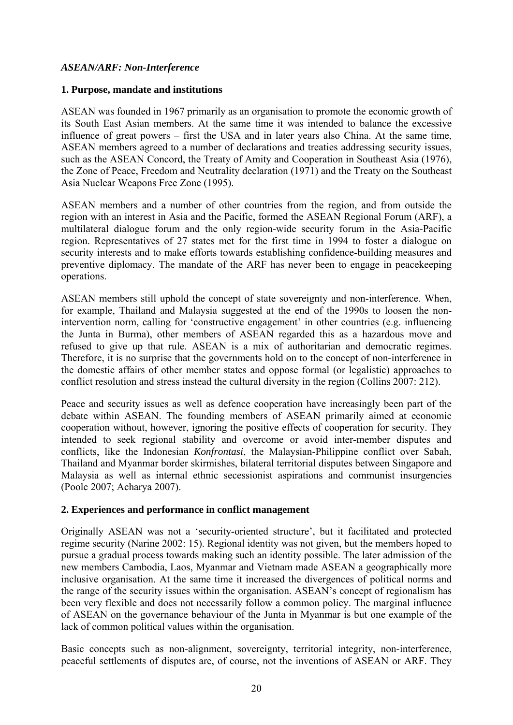#### *ASEAN/ARF: Non-Interference*

#### **1. Purpose, mandate and institutions**

ASEAN was founded in 1967 primarily as an organisation to promote the economic growth of its South East Asian members. At the same time it was intended to balance the excessive influence of great powers – first the USA and in later years also China. At the same time, ASEAN members agreed to a number of declarations and treaties addressing security issues, such as the ASEAN Concord, the Treaty of Amity and Cooperation in Southeast Asia (1976), the Zone of Peace, Freedom and Neutrality declaration (1971) and the Treaty on the Southeast Asia Nuclear Weapons Free Zone (1995).

ASEAN members and a number of other countries from the region, and from outside the region with an interest in Asia and the Pacific, formed the ASEAN Regional Forum (ARF), a multilateral dialogue forum and the only region-wide security forum in the Asia-Pacific region. Representatives of 27 states met for the first time in 1994 to foster a dialogue on security interests and to make efforts towards establishing confidence-building measures and preventive diplomacy. The mandate of the ARF has never been to engage in peacekeeping operations.

ASEAN members still uphold the concept of state sovereignty and non-interference. When, for example, Thailand and Malaysia suggested at the end of the 1990s to loosen the nonintervention norm, calling for 'constructive engagement' in other countries (e.g. influencing the Junta in Burma), other members of ASEAN regarded this as a hazardous move and refused to give up that rule. ASEAN is a mix of authoritarian and democratic regimes. Therefore, it is no surprise that the governments hold on to the concept of non-interference in the domestic affairs of other member states and oppose formal (or legalistic) approaches to conflict resolution and stress instead the cultural diversity in the region (Collins 2007: 212).

Peace and security issues as well as defence cooperation have increasingly been part of the debate within ASEAN. The founding members of ASEAN primarily aimed at economic cooperation without, however, ignoring the positive effects of cooperation for security. They intended to seek regional stability and overcome or avoid inter-member disputes and conflicts, like the Indonesian *Konfrontasi*, the Malaysian-Philippine conflict over Sabah, Thailand and Myanmar border skirmishes, bilateral territorial disputes between Singapore and Malaysia as well as internal ethnic secessionist aspirations and communist insurgencies (Poole 2007; Acharya 2007).

#### **2. Experiences and performance in conflict management**

Originally ASEAN was not a 'security-oriented structure', but it facilitated and protected regime security (Narine 2002: 15). Regional identity was not given, but the members hoped to pursue a gradual process towards making such an identity possible. The later admission of the new members Cambodia, Laos, Myanmar and Vietnam made ASEAN a geographically more inclusive organisation. At the same time it increased the divergences of political norms and the range of the security issues within the organisation. ASEAN's concept of regionalism has been very flexible and does not necessarily follow a common policy. The marginal influence of ASEAN on the governance behaviour of the Junta in Myanmar is but one example of the lack of common political values within the organisation.

Basic concepts such as non-alignment, sovereignty, territorial integrity, non-interference, peaceful settlements of disputes are, of course, not the inventions of ASEAN or ARF. They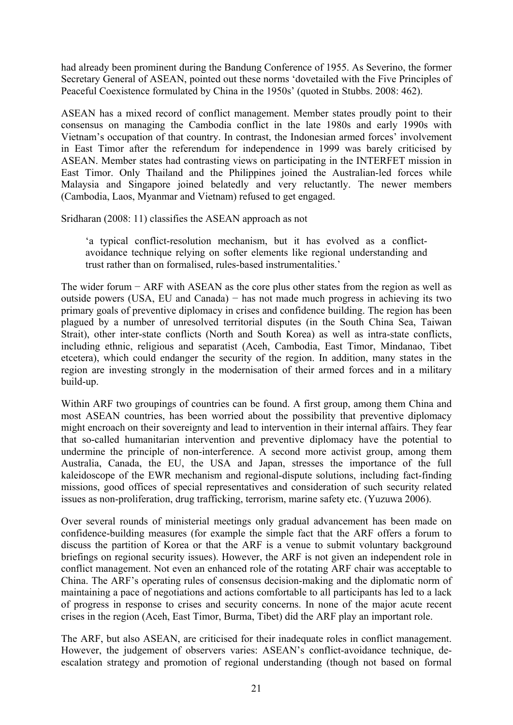had already been prominent during the Bandung Conference of 1955. As Severino, the former Secretary General of ASEAN, pointed out these norms 'dovetailed with the Five Principles of Peaceful Coexistence formulated by China in the 1950s' (quoted in Stubbs. 2008: 462).

ASEAN has a mixed record of conflict management. Member states proudly point to their consensus on managing the Cambodia conflict in the late 1980s and early 1990s with Vietnam's occupation of that country. In contrast, the Indonesian armed forces' involvement in East Timor after the referendum for independence in 1999 was barely criticised by ASEAN. Member states had contrasting views on participating in the INTERFET mission in East Timor. Only Thailand and the Philippines joined the Australian-led forces while Malaysia and Singapore joined belatedly and very reluctantly. The newer members (Cambodia, Laos, Myanmar and Vietnam) refused to get engaged.

Sridharan (2008: 11) classifies the ASEAN approach as not

'a typical conflict-resolution mechanism, but it has evolved as a conflictavoidance technique relying on softer elements like regional understanding and trust rather than on formalised, rules-based instrumentalities.'

The wider forum – ARF with ASEAN as the core plus other states from the region as well as outside powers (USA, EU and Canada) − has not made much progress in achieving its two primary goals of preventive diplomacy in crises and confidence building. The region has been plagued by a number of unresolved territorial disputes (in the South China Sea, Taiwan Strait), other inter-state conflicts (North and South Korea) as well as intra-state conflicts, including ethnic, religious and separatist (Aceh, Cambodia, East Timor, Mindanao, Tibet etcetera), which could endanger the security of the region. In addition, many states in the region are investing strongly in the modernisation of their armed forces and in a military build-up.

Within ARF two groupings of countries can be found. A first group, among them China and most ASEAN countries, has been worried about the possibility that preventive diplomacy might encroach on their sovereignty and lead to intervention in their internal affairs. They fear that so-called humanitarian intervention and preventive diplomacy have the potential to undermine the principle of non-interference. A second more activist group, among them Australia, Canada, the EU, the USA and Japan, stresses the importance of the full kaleidoscope of the EWR mechanism and regional-dispute solutions, including fact-finding missions, good offices of special representatives and consideration of such security related issues as non-proliferation, drug trafficking, terrorism, marine safety etc. (Yuzuwa 2006).

Over several rounds of ministerial meetings only gradual advancement has been made on confidence-building measures (for example the simple fact that the ARF offers a forum to discuss the partition of Korea or that the ARF is a venue to submit voluntary background briefings on regional security issues). However, the ARF is not given an independent role in conflict management. Not even an enhanced role of the rotating ARF chair was acceptable to China. The ARF's operating rules of consensus decision-making and the diplomatic norm of maintaining a pace of negotiations and actions comfortable to all participants has led to a lack of progress in response to crises and security concerns. In none of the major acute recent crises in the region (Aceh, East Timor, Burma, Tibet) did the ARF play an important role.

The ARF, but also ASEAN, are criticised for their inadequate roles in conflict management. However, the judgement of observers varies: ASEAN's conflict-avoidance technique, deescalation strategy and promotion of regional understanding (though not based on formal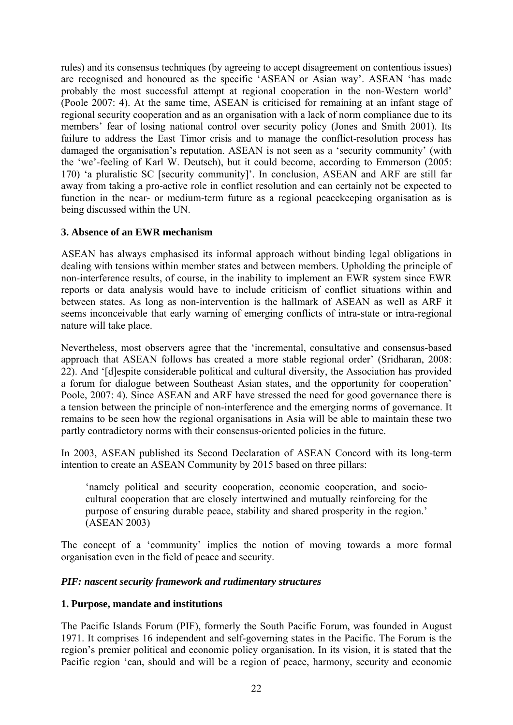rules) and its consensus techniques (by agreeing to accept disagreement on contentious issues) are recognised and honoured as the specific 'ASEAN or Asian way'. ASEAN 'has made probably the most successful attempt at regional cooperation in the non-Western world' (Poole 2007: 4). At the same time, ASEAN is criticised for remaining at an infant stage of regional security cooperation and as an organisation with a lack of norm compliance due to its members' fear of losing national control over security policy (Jones and Smith 2001). Its failure to address the East Timor crisis and to manage the conflict-resolution process has damaged the organisation's reputation. ASEAN is not seen as a 'security community' (with the 'we'-feeling of Karl W. Deutsch), but it could become, according to Emmerson (2005: 170) 'a pluralistic SC [security community]'. In conclusion, ASEAN and ARF are still far away from taking a pro-active role in conflict resolution and can certainly not be expected to function in the near- or medium-term future as a regional peacekeeping organisation as is being discussed within the UN.

#### **3. Absence of an EWR mechanism**

ASEAN has always emphasised its informal approach without binding legal obligations in dealing with tensions within member states and between members. Upholding the principle of non-interference results, of course, in the inability to implement an EWR system since EWR reports or data analysis would have to include criticism of conflict situations within and between states. As long as non-intervention is the hallmark of ASEAN as well as ARF it seems inconceivable that early warning of emerging conflicts of intra-state or intra-regional nature will take place.

Nevertheless, most observers agree that the 'incremental, consultative and consensus-based approach that ASEAN follows has created a more stable regional order' (Sridharan, 2008: 22). And '[d]espite considerable political and cultural diversity, the Association has provided a forum for dialogue between Southeast Asian states, and the opportunity for cooperation' Poole, 2007: 4). Since ASEAN and ARF have stressed the need for good governance there is a tension between the principle of non-interference and the emerging norms of governance. It remains to be seen how the regional organisations in Asia will be able to maintain these two partly contradictory norms with their consensus-oriented policies in the future.

In 2003, ASEAN published its Second Declaration of ASEAN Concord with its long-term intention to create an ASEAN Community by 2015 based on three pillars:

'namely political and security cooperation, economic cooperation, and sociocultural cooperation that are closely intertwined and mutually reinforcing for the purpose of ensuring durable peace, stability and shared prosperity in the region.' (ASEAN 2003)

The concept of a 'community' implies the notion of moving towards a more formal organisation even in the field of peace and security.

#### *PIF: nascent security framework and rudimentary structures*

#### **1. Purpose, mandate and institutions**

The Pacific Islands Forum (PIF), formerly the South Pacific Forum, was founded in August 1971. It comprises 16 independent and self-governing states in the Pacific. The Forum is the region's premier political and economic policy organisation. In its vision, it is stated that the Pacific region 'can, should and will be a region of peace, harmony, security and economic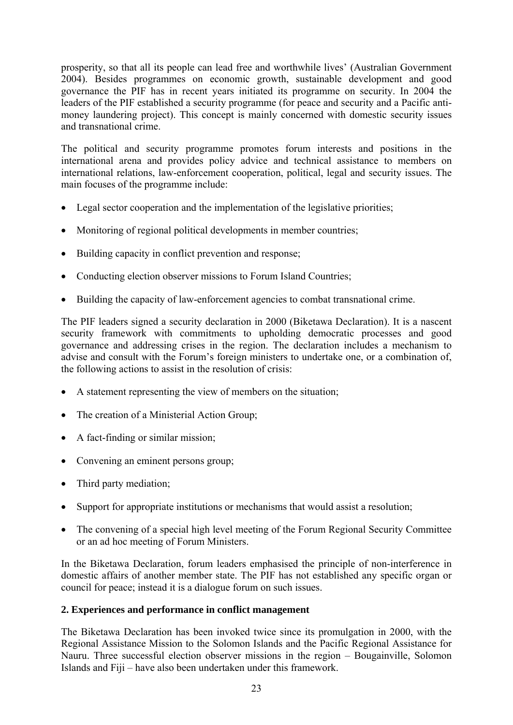prosperity, so that all its people can lead free and worthwhile lives' (Australian Government 2004). Besides programmes on economic growth, sustainable development and good governance the PIF has in recent years initiated its programme on security. In 2004 the leaders of the PIF established a security programme (for peace and security and a Pacific antimoney laundering project). This concept is mainly concerned with domestic security issues and transnational crime.

The political and security programme promotes forum interests and positions in the international arena and provides policy advice and technical assistance to members on international relations, law-enforcement cooperation, political, legal and security issues. The main focuses of the programme include:

- Legal sector cooperation and the implementation of the legislative priorities;
- Monitoring of regional political developments in member countries;
- Building capacity in conflict prevention and response;
- Conducting election observer missions to Forum Island Countries;
- Building the capacity of law-enforcement agencies to combat transnational crime.

The PIF leaders signed a security declaration in 2000 (Biketawa Declaration). It is a nascent security framework with commitments to upholding democratic processes and good governance and addressing crises in the region. The declaration includes a mechanism to advise and consult with the Forum's foreign ministers to undertake one, or a combination of, the following actions to assist in the resolution of crisis:

- A statement representing the view of members on the situation;
- The creation of a Ministerial Action Group;
- A fact-finding or similar mission;
- Convening an eminent persons group;
- Third party mediation;
- Support for appropriate institutions or mechanisms that would assist a resolution;
- The convening of a special high level meeting of the Forum Regional Security Committee or an ad hoc meeting of Forum Ministers.

In the Biketawa Declaration, forum leaders emphasised the principle of non-interference in domestic affairs of another member state. The PIF has not established any specific organ or council for peace; instead it is a dialogue forum on such issues.

#### **2. Experiences and performance in conflict management**

The Biketawa Declaration has been invoked twice since its promulgation in 2000, with the Regional Assistance Mission to the Solomon Islands and the Pacific Regional Assistance for Nauru. Three successful election observer missions in the region – Bougainville, Solomon Islands and Fiji – have also been undertaken under this framework.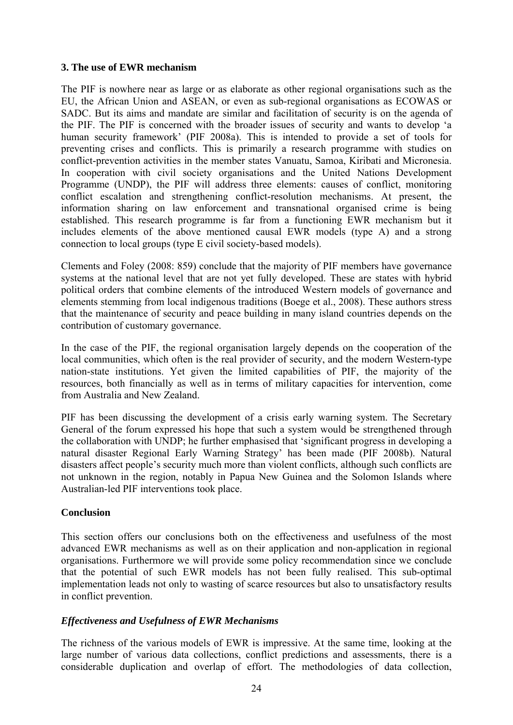#### **3. The use of EWR mechanism**

The PIF is nowhere near as large or as elaborate as other regional organisations such as the EU, the African Union and ASEAN, or even as sub-regional organisations as ECOWAS or SADC. But its aims and mandate are similar and facilitation of security is on the agenda of the PIF. The PIF is concerned with the broader issues of security and wants to develop 'a human security framework' (PIF 2008a). This is intended to provide a set of tools for preventing crises and conflicts. This is primarily a research programme with studies on conflict-prevention activities in the member states Vanuatu, Samoa, Kiribati and Micronesia. In cooperation with civil society organisations and the United Nations Development Programme (UNDP), the PIF will address three elements: causes of conflict, monitoring conflict escalation and strengthening conflict-resolution mechanisms. At present, the information sharing on law enforcement and transnational organised crime is being established. This research programme is far from a functioning EWR mechanism but it includes elements of the above mentioned causal EWR models (type A) and a strong connection to local groups (type E civil society-based models).

Clements and Foley (2008: 859) conclude that the majority of PIF members have governance systems at the national level that are not yet fully developed. These are states with hybrid political orders that combine elements of the introduced Western models of governance and elements stemming from local indigenous traditions (Boege et al., 2008). These authors stress that the maintenance of security and peace building in many island countries depends on the contribution of customary governance.

In the case of the PIF, the regional organisation largely depends on the cooperation of the local communities, which often is the real provider of security, and the modern Western-type nation-state institutions. Yet given the limited capabilities of PIF, the majority of the resources, both financially as well as in terms of military capacities for intervention, come from Australia and New Zealand.

PIF has been discussing the development of a crisis early warning system. The Secretary General of the forum expressed his hope that such a system would be strengthened through the collaboration with UNDP; he further emphasised that 'significant progress in developing a natural disaster Regional Early Warning Strategy' has been made (PIF 2008b). Natural disasters affect people's security much more than violent conflicts, although such conflicts are not unknown in the region, notably in Papua New Guinea and the Solomon Islands where Australian-led PIF interventions took place.

#### **Conclusion**

This section offers our conclusions both on the effectiveness and usefulness of the most advanced EWR mechanisms as well as on their application and non-application in regional organisations. Furthermore we will provide some policy recommendation since we conclude that the potential of such EWR models has not been fully realised. This sub-optimal implementation leads not only to wasting of scarce resources but also to unsatisfactory results in conflict prevention.

#### *Effectiveness and Usefulness of EWR Mechanisms*

The richness of the various models of EWR is impressive. At the same time, looking at the large number of various data collections, conflict predictions and assessments, there is a considerable duplication and overlap of effort. The methodologies of data collection,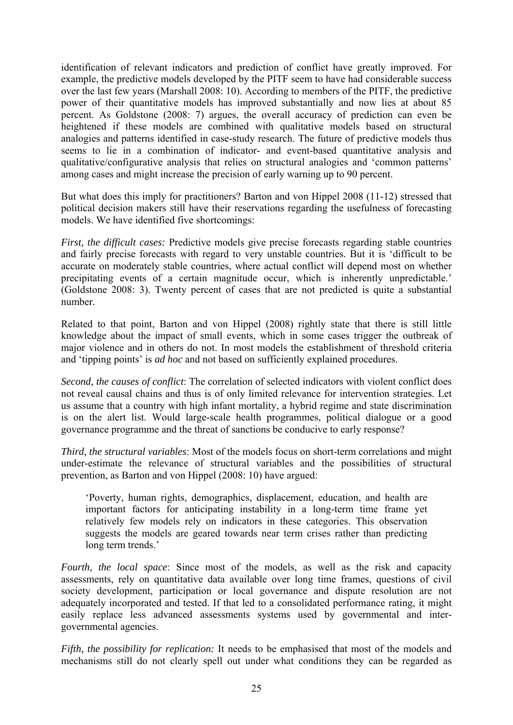identification of relevant indicators and prediction of conflict have greatly improved. For example, the predictive models developed by the PITF seem to have had considerable success over the last few years (Marshall 2008: 10). According to members of the PITF, the predictive power of their quantitative models has improved substantially and now lies at about 85 percent. As Goldstone (2008: 7) argues, the overall accuracy of prediction can even be heightened if these models are combined with qualitative models based on structural analogies and patterns identified in case-study research. The future of predictive models thus seems to lie in a combination of indicator- and event-based quantitative analysis and qualitative/configurative analysis that relies on structural analogies and 'common patterns' among cases and might increase the precision of early warning up to 90 percent.

But what does this imply for practitioners? Barton and von Hippel 2008 (11-12) stressed that political decision makers still have their reservations regarding the usefulness of forecasting models. We have identified five shortcomings:

*First, the difficult cases:* Predictive models give precise forecasts regarding stable countries and fairly precise forecasts with regard to very unstable countries. But it is 'difficult to be accurate on moderately stable countries, where actual conflict will depend most on whether precipitating events of a certain magnitude occur, which is inherently unpredictable.' (Goldstone 2008: 3). Twenty percent of cases that are not predicted is quite a substantial number.

Related to that point, Barton and von Hippel (2008) rightly state that there is still little knowledge about the impact of small events, which in some cases trigger the outbreak of major violence and in others do not. In most models the establishment of threshold criteria and 'tipping points' is *ad hoc* and not based on sufficiently explained procedures.

*Second, the causes of conflict*: The correlation of selected indicators with violent conflict does not reveal causal chains and thus is of only limited relevance for intervention strategies. Let us assume that a country with high infant mortality, a hybrid regime and state discrimination is on the alert list. Would large-scale health programmes, political dialogue or a good governance programme and the threat of sanctions be conducive to early response?

*Third, the structural variables*: Most of the models focus on short-term correlations and might under-estimate the relevance of structural variables and the possibilities of structural prevention, as Barton and von Hippel (2008: 10) have argued:

'Poverty, human rights, demographics, displacement, education, and health are important factors for anticipating instability in a long-term time frame yet relatively few models rely on indicators in these categories. This observation suggests the models are geared towards near term crises rather than predicting long term trends.'

*Fourth, the local space*: Since most of the models, as well as the risk and capacity assessments, rely on quantitative data available over long time frames, questions of civil society development, participation or local governance and dispute resolution are not adequately incorporated and tested. If that led to a consolidated performance rating, it might easily replace less advanced assessments systems used by governmental and intergovernmental agencies.

*Fifth, the possibility for replication:* It needs to be emphasised that most of the models and mechanisms still do not clearly spell out under what conditions they can be regarded as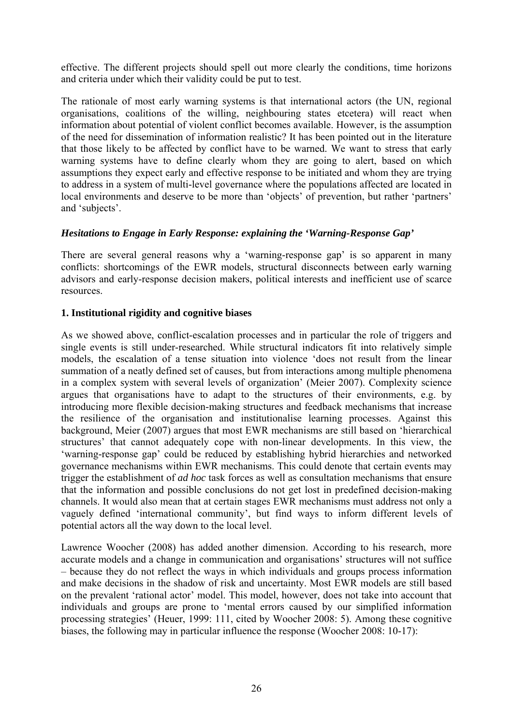effective. The different projects should spell out more clearly the conditions, time horizons and criteria under which their validity could be put to test.

The rationale of most early warning systems is that international actors (the UN, regional organisations, coalitions of the willing, neighbouring states etcetera) will react when information about potential of violent conflict becomes available. However, is the assumption of the need for dissemination of information realistic? It has been pointed out in the literature that those likely to be affected by conflict have to be warned. We want to stress that early warning systems have to define clearly whom they are going to alert, based on which assumptions they expect early and effective response to be initiated and whom they are trying to address in a system of multi-level governance where the populations affected are located in local environments and deserve to be more than 'objects' of prevention, but rather 'partners' and 'subjects'.

#### *Hesitations to Engage in Early Response: explaining the 'Warning-Response Gap'*

There are several general reasons why a 'warning-response gap' is so apparent in many conflicts: shortcomings of the EWR models, structural disconnects between early warning advisors and early-response decision makers, political interests and inefficient use of scarce resources.

#### **1. Institutional rigidity and cognitive biases**

As we showed above, conflict-escalation processes and in particular the role of triggers and single events is still under-researched. While structural indicators fit into relatively simple models, the escalation of a tense situation into violence 'does not result from the linear summation of a neatly defined set of causes, but from interactions among multiple phenomena in a complex system with several levels of organization' (Meier 2007). Complexity science argues that organisations have to adapt to the structures of their environments, e.g. by introducing more flexible decision-making structures and feedback mechanisms that increase the resilience of the organisation and institutionalise learning processes. Against this background, Meier (2007) argues that most EWR mechanisms are still based on 'hierarchical structures' that cannot adequately cope with non-linear developments. In this view, the 'warning-response gap' could be reduced by establishing hybrid hierarchies and networked governance mechanisms within EWR mechanisms. This could denote that certain events may trigger the establishment of *ad hoc* task forces as well as consultation mechanisms that ensure that the information and possible conclusions do not get lost in predefined decision-making channels. It would also mean that at certain stages EWR mechanisms must address not only a vaguely defined 'international community', but find ways to inform different levels of potential actors all the way down to the local level.

Lawrence Woocher (2008) has added another dimension. According to his research, more accurate models and a change in communication and organisations' structures will not suffice – because they do not reflect the ways in which individuals and groups process information and make decisions in the shadow of risk and uncertainty. Most EWR models are still based on the prevalent 'rational actor' model. This model, however, does not take into account that individuals and groups are prone to 'mental errors caused by our simplified information processing strategies' (Heuer, 1999: 111, cited by Woocher 2008: 5). Among these cognitive biases, the following may in particular influence the response (Woocher 2008: 10-17):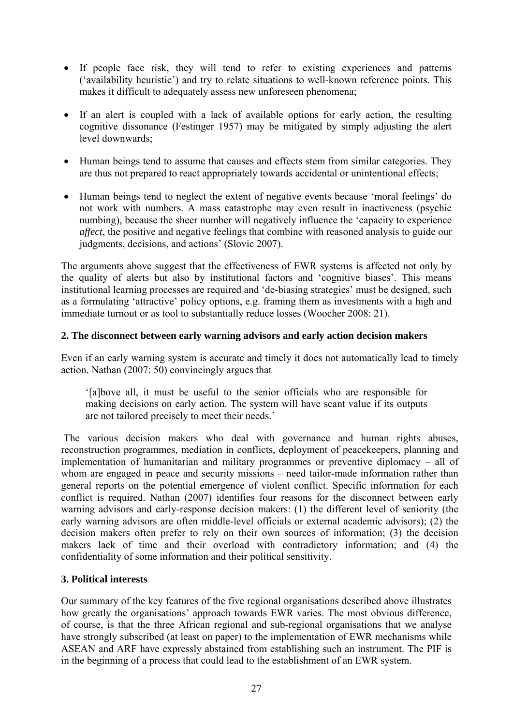- If people face risk, they will tend to refer to existing experiences and patterns ('availability heuristic') and try to relate situations to well-known reference points. This makes it difficult to adequately assess new unforeseen phenomena;
- If an alert is coupled with a lack of available options for early action, the resulting cognitive dissonance (Festinger 1957) may be mitigated by simply adjusting the alert level downwards;
- Human beings tend to assume that causes and effects stem from similar categories. They are thus not prepared to react appropriately towards accidental or unintentional effects;
- Human beings tend to neglect the extent of negative events because 'moral feelings' do not work with numbers. A mass catastrophe may even result in inactiveness (psychic numbing), because the sheer number will negatively influence the 'capacity to experience *affect*, the positive and negative feelings that combine with reasoned analysis to guide our judgments, decisions, and actions' (Slovic 2007).

The arguments above suggest that the effectiveness of EWR systems is affected not only by the quality of alerts but also by institutional factors and 'cognitive biases'. This means institutional learning processes are required and 'de-biasing strategies' must be designed, such as a formulating 'attractive' policy options, e.g. framing them as investments with a high and immediate turnout or as tool to substantially reduce losses (Woocher 2008: 21).

#### **2. The disconnect between early warning advisors and early action decision makers**

Even if an early warning system is accurate and timely it does not automatically lead to timely action. Nathan (2007: 50) convincingly argues that

'[a]bove all, it must be useful to the senior officials who are responsible for making decisions on early action. The system will have scant value if its outputs are not tailored precisely to meet their needs.'

 The various decision makers who deal with governance and human rights abuses, reconstruction programmes, mediation in conflicts, deployment of peacekeepers, planning and implementation of humanitarian and military programmes or preventive diplomacy – all of whom are engaged in peace and security missions – need tailor-made information rather than general reports on the potential emergence of violent conflict. Specific information for each conflict is required. Nathan (2007) identifies four reasons for the disconnect between early warning advisors and early-response decision makers: (1) the different level of seniority (the early warning advisors are often middle-level officials or external academic advisors); (2) the decision makers often prefer to rely on their own sources of information; (3) the decision makers lack of time and their overload with contradictory information; and (4) the confidentiality of some information and their political sensitivity.

#### **3. Political interests**

Our summary of the key features of the five regional organisations described above illustrates how greatly the organisations' approach towards EWR varies. The most obvious difference, of course, is that the three African regional and sub-regional organisations that we analyse have strongly subscribed (at least on paper) to the implementation of EWR mechanisms while ASEAN and ARF have expressly abstained from establishing such an instrument. The PIF is in the beginning of a process that could lead to the establishment of an EWR system.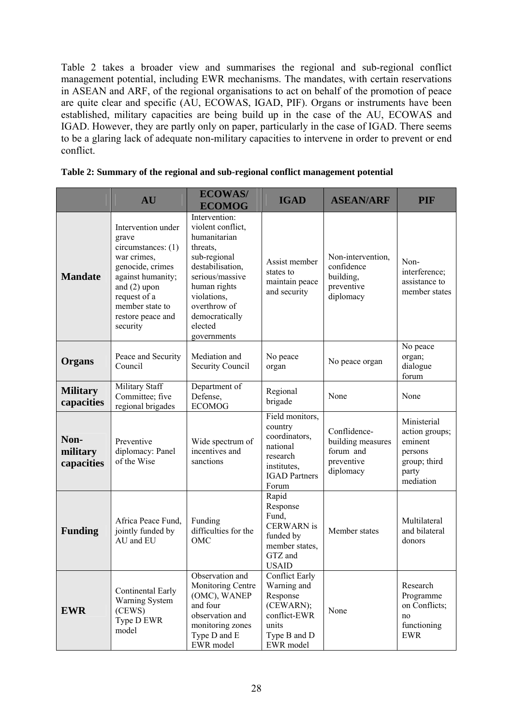Table 2 takes a broader view and summarises the regional and sub-regional conflict management potential, including EWR mechanisms. The mandates, with certain reservations in ASEAN and ARF, of the regional organisations to act on behalf of the promotion of peace are quite clear and specific (AU, ECOWAS, IGAD, PIF). Organs or instruments have been established, military capacities are being build up in the case of the AU, ECOWAS and IGAD. However, they are partly only on paper, particularly in the case of IGAD. There seems to be a glaring lack of adequate non-military capacities to intervene in order to prevent or end conflict.

|  | Table 2: Summary of the regional and sub-regional conflict management potential |  |
|--|---------------------------------------------------------------------------------|--|
|  |                                                                                 |  |

|                                | AU                                                                                                                                                                                              | <b>ECOWAS/</b><br><b>ECOMOG</b>                                                                                                                                                                                  | <b>IGAD</b>                                                                                                         | <b>ASEAN/ARF</b>                                                          | <b>PIF</b>                                                                                |
|--------------------------------|-------------------------------------------------------------------------------------------------------------------------------------------------------------------------------------------------|------------------------------------------------------------------------------------------------------------------------------------------------------------------------------------------------------------------|---------------------------------------------------------------------------------------------------------------------|---------------------------------------------------------------------------|-------------------------------------------------------------------------------------------|
| <b>Mandate</b>                 | Intervention under<br>grave<br>circumstances: (1)<br>war crimes.<br>genocide, crimes<br>against humanity;<br>and $(2)$ upon<br>request of a<br>member state to<br>restore peace and<br>security | Intervention:<br>violent conflict,<br>humanitarian<br>threats,<br>sub-regional<br>destabilisation,<br>serious/massive<br>human rights<br>violations,<br>overthrow of<br>democratically<br>elected<br>governments | Assist member<br>states to<br>maintain peace<br>and security                                                        | Non-intervention,<br>confidence<br>building,<br>preventive<br>diplomacy   | Non-<br>interference;<br>assistance to<br>member states                                   |
| Organs                         | Peace and Security<br>Council                                                                                                                                                                   | Mediation and<br>Security Council                                                                                                                                                                                | No peace<br>organ                                                                                                   | No peace organ                                                            | No peace<br>organ;<br>dialogue<br>forum                                                   |
| <b>Military</b><br>capacities  | Military Staff<br>Committee; five<br>regional brigades                                                                                                                                          | Department of<br>Defense,<br><b>ECOMOG</b>                                                                                                                                                                       | Regional<br>brigade                                                                                                 | None                                                                      | None                                                                                      |
| Non-<br>military<br>capacities | Preventive<br>diplomacy: Panel<br>of the Wise                                                                                                                                                   | Wide spectrum of<br>incentives and<br>sanctions                                                                                                                                                                  | Field monitors,<br>country<br>coordinators,<br>national<br>research<br>institutes,<br><b>IGAD Partners</b><br>Forum | Conflidence-<br>building measures<br>forum and<br>preventive<br>diplomacy | Ministerial<br>action groups;<br>eminent<br>persons<br>group; third<br>party<br>mediation |
| <b>Funding</b>                 | Africa Peace Fund,<br>jointly funded by<br>AU and EU                                                                                                                                            | Funding<br>difficulties for the<br>OMC                                                                                                                                                                           | Rapid<br>Response<br>Fund,<br><b>CERWARN</b> is<br>funded by<br>member states,<br>GTZ and<br><b>USAID</b>           | Member states                                                             | Multilateral<br>and bilateral<br>donors                                                   |
| <b>EWR</b>                     | Continental Early<br>Warning System<br>(CEWS)<br>Type D EWR<br>model                                                                                                                            | Observation and<br>Monitoring Centre<br>(OMC), WANEP<br>and four<br>observation and<br>monitoring zones<br>Type D and E<br>EWR model                                                                             | <b>Conflict Early</b><br>Warning and<br>Response<br>(CEWARN);<br>conflict-EWR<br>units<br>Type B and D<br>EWR model | None                                                                      | Research<br>Programme<br>on Conflicts;<br>no<br>functioning<br><b>EWR</b>                 |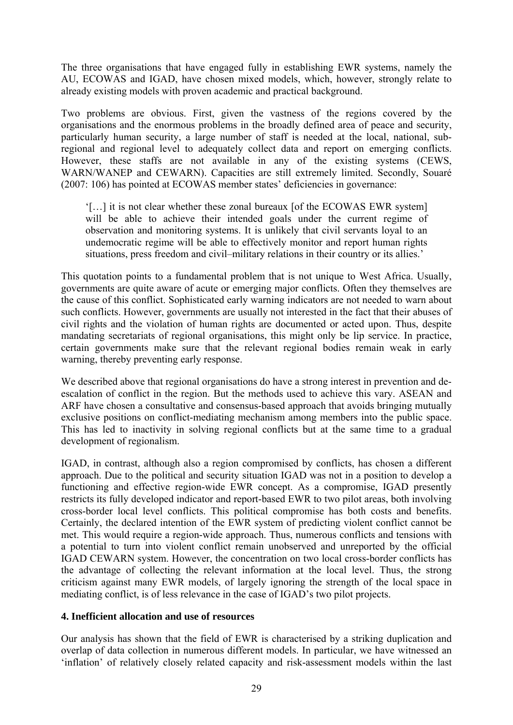The three organisations that have engaged fully in establishing EWR systems, namely the AU, ECOWAS and IGAD, have chosen mixed models, which, however, strongly relate to already existing models with proven academic and practical background.

Two problems are obvious. First, given the vastness of the regions covered by the organisations and the enormous problems in the broadly defined area of peace and security, particularly human security, a large number of staff is needed at the local, national, subregional and regional level to adequately collect data and report on emerging conflicts. However, these staffs are not available in any of the existing systems (CEWS, WARN/WANEP and CEWARN). Capacities are still extremely limited. Secondly, Souaré (2007: 106) has pointed at ECOWAS member states' deficiencies in governance:

'[…] it is not clear whether these zonal bureaux [of the ECOWAS EWR system] will be able to achieve their intended goals under the current regime of observation and monitoring systems. It is unlikely that civil servants loyal to an undemocratic regime will be able to effectively monitor and report human rights situations, press freedom and civil–military relations in their country or its allies.'

This quotation points to a fundamental problem that is not unique to West Africa. Usually, governments are quite aware of acute or emerging major conflicts. Often they themselves are the cause of this conflict. Sophisticated early warning indicators are not needed to warn about such conflicts. However, governments are usually not interested in the fact that their abuses of civil rights and the violation of human rights are documented or acted upon. Thus, despite mandating secretariats of regional organisations, this might only be lip service. In practice, certain governments make sure that the relevant regional bodies remain weak in early warning, thereby preventing early response.

We described above that regional organisations do have a strong interest in prevention and deescalation of conflict in the region. But the methods used to achieve this vary. ASEAN and ARF have chosen a consultative and consensus-based approach that avoids bringing mutually exclusive positions on conflict-mediating mechanism among members into the public space. This has led to inactivity in solving regional conflicts but at the same time to a gradual development of regionalism.

IGAD, in contrast, although also a region compromised by conflicts, has chosen a different approach. Due to the political and security situation IGAD was not in a position to develop a functioning and effective region-wide EWR concept. As a compromise, IGAD presently restricts its fully developed indicator and report-based EWR to two pilot areas, both involving cross-border local level conflicts. This political compromise has both costs and benefits. Certainly, the declared intention of the EWR system of predicting violent conflict cannot be met. This would require a region-wide approach. Thus, numerous conflicts and tensions with a potential to turn into violent conflict remain unobserved and unreported by the official IGAD CEWARN system. However, the concentration on two local cross-border conflicts has the advantage of collecting the relevant information at the local level. Thus, the strong criticism against many EWR models, of largely ignoring the strength of the local space in mediating conflict, is of less relevance in the case of IGAD's two pilot projects.

#### **4. Inefficient allocation and use of resources**

Our analysis has shown that the field of EWR is characterised by a striking duplication and overlap of data collection in numerous different models. In particular, we have witnessed an 'inflation' of relatively closely related capacity and risk-assessment models within the last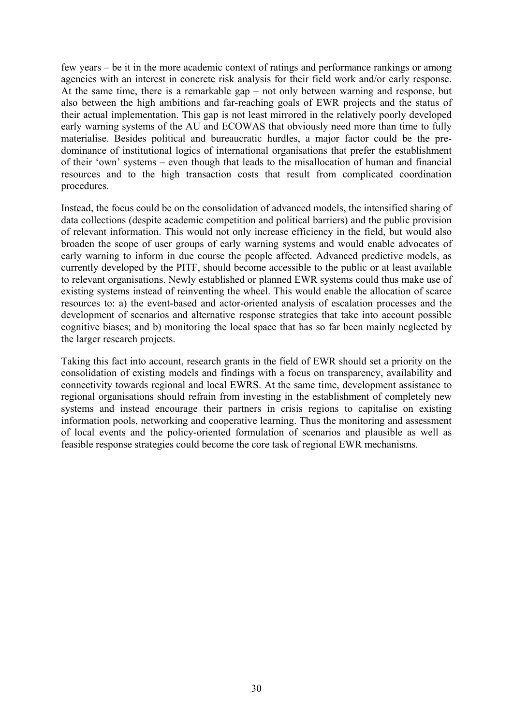few years – be it in the more academic context of ratings and performance rankings or among agencies with an interest in concrete risk analysis for their field work and/or early response. At the same time, there is a remarkable gap – not only between warning and response, but also between the high ambitions and far-reaching goals of EWR projects and the status of their actual implementation. This gap is not least mirrored in the relatively poorly developed early warning systems of the AU and ECOWAS that obviously need more than time to fully materialise. Besides political and bureaucratic hurdles, a major factor could be the predominance of institutional logics of international organisations that prefer the establishment of their 'own' systems – even though that leads to the misallocation of human and financial resources and to the high transaction costs that result from complicated coordination procedures.

Instead, the focus could be on the consolidation of advanced models, the intensified sharing of data collections (despite academic competition and political barriers) and the public provision of relevant information. This would not only increase efficiency in the field, but would also broaden the scope of user groups of early warning systems and would enable advocates of early warning to inform in due course the people affected. Advanced predictive models, as currently developed by the PITF, should become accessible to the public or at least available to relevant organisations. Newly established or planned EWR systems could thus make use of existing systems instead of reinventing the wheel. This would enable the allocation of scarce resources to: a) the event-based and actor-oriented analysis of escalation processes and the development of scenarios and alternative response strategies that take into account possible cognitive biases; and b) monitoring the local space that has so far been mainly neglected by the larger research projects.

Taking this fact into account, research grants in the field of EWR should set a priority on the consolidation of existing models and findings with a focus on transparency, availability and connectivity towards regional and local EWRS. At the same time, development assistance to regional organisations should refrain from investing in the establishment of completely new systems and instead encourage their partners in crisis regions to capitalise on existing information pools, networking and cooperative learning. Thus the monitoring and assessment of local events and the policy-oriented formulation of scenarios and plausible as well as feasible response strategies could become the core task of regional EWR mechanisms.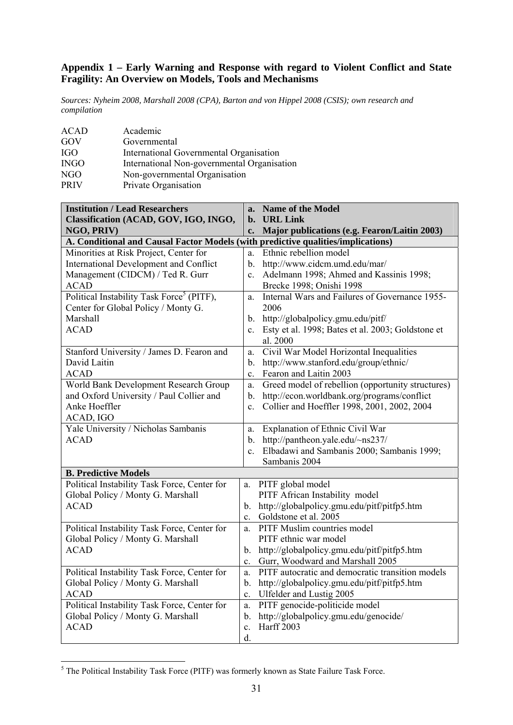#### **Appendix 1 – Early Warning and Response with regard to Violent Conflict and State Fragility: An Overview on Models, Tools and Mechanisms**

*Sources: Nyheim 2008, Marshall 2008 (CPA), Barton and von Hippel 2008 (CSIS); own research and compilation* 

| <b>ACAD</b> | Academic                                    |
|-------------|---------------------------------------------|
| GOV         | Governmental                                |
| <b>IGO</b>  | International Governmental Organisation     |
| <b>INGO</b> | International Non-governmental Organisation |
| NGO         | Non-governmental Organisation               |
| <b>PRIV</b> | Private Organisation                        |

| <b>Institution / Lead Researchers</b>                                            | a.             | <b>Name of the Model</b>                          |
|----------------------------------------------------------------------------------|----------------|---------------------------------------------------|
| Classification (ACAD, GOV, IGO, INGO,                                            | b.             | <b>URL Link</b>                                   |
| NGO, PRIV)                                                                       | c.             | Major publications (e.g. Fearon/Laitin 2003)      |
| A. Conditional and Causal Factor Models (with predictive qualities/implications) |                |                                                   |
| Minorities at Risk Project, Center for                                           | a.             | Ethnic rebellion model                            |
| <b>International Development and Conflict</b>                                    | $\mathbf{b}$ . | http://www.cidcm.umd.edu/mar/                     |
| Management (CIDCM) / Ted R. Gurr                                                 | $c_{\cdot}$    | Adelmann 1998; Ahmed and Kassinis 1998;           |
| <b>ACAD</b>                                                                      |                | Brecke 1998; Onishi 1998                          |
| Political Instability Task Force <sup>5</sup> (PITF),                            | a.             | Internal Wars and Failures of Governance 1955-    |
| Center for Global Policy / Monty G.                                              |                | 2006                                              |
| Marshall                                                                         | $b_{-}$        | http://globalpolicy.gmu.edu/pitf/                 |
| <b>ACAD</b>                                                                      | $c_{\cdot}$    | Esty et al. 1998; Bates et al. 2003; Goldstone et |
|                                                                                  |                | al. 2000                                          |
| Stanford University / James D. Fearon and                                        | a.             | Civil War Model Horizontal Inequalities           |
| David Laitin                                                                     | $\mathbf{b}$ . | http://www.stanford.edu/group/ethnic/             |
| <b>ACAD</b>                                                                      | $\mathbf{c}$ . | Fearon and Laitin 2003                            |
| World Bank Development Research Group                                            | a.             | Greed model of rebellion (opportunity structures) |
| and Oxford University / Paul Collier and                                         | $\mathbf{b}$ . | http://econ.worldbank.org/programs/conflict       |
| Anke Hoeffler                                                                    | $\mathbf{c}$ . | Collier and Hoeffler 1998, 2001, 2002, 2004       |
| ACAD, IGO                                                                        |                |                                                   |
| Yale University / Nicholas Sambanis                                              | a.             | Explanation of Ethnic Civil War                   |
| <b>ACAD</b>                                                                      | $\mathbf{b}$ . | http://pantheon.yale.edu/~ns237/                  |
|                                                                                  | $\mathbf{c}$ . | Elbadawi and Sambanis 2000; Sambanis 1999;        |
|                                                                                  |                | Sambanis 2004                                     |
| <b>B. Predictive Models</b>                                                      |                |                                                   |
| Political Instability Task Force, Center for                                     | a.             | PITF global model                                 |
| Global Policy / Monty G. Marshall                                                |                | PITF African Instability model                    |
| <b>ACAD</b>                                                                      | b.             | http://globalpolicy.gmu.edu/pitf/pitfp5.htm       |
|                                                                                  | $\mathbf{c}$ . | Goldstone et al. 2005                             |
| Political Instability Task Force, Center for                                     | a.             | PITF Muslim countries model                       |
| Global Policy / Monty G. Marshall                                                |                | PITF ethnic war model                             |
| <b>ACAD</b>                                                                      | $b_{\cdot}$    | http://globalpolicy.gmu.edu/pitf/pitfp5.htm       |
|                                                                                  | $c_{-}$        | Gurr, Woodward and Marshall 2005                  |
| Political Instability Task Force, Center for                                     | a.             | PITF autocratic and democratic transition models  |
| Global Policy / Monty G. Marshall                                                | b.             | http://globalpolicy.gmu.edu/pitf/pitfp5.htm       |
| <b>ACAD</b>                                                                      | $\mathbf{c}$ . | Ulfelder and Lustig 2005                          |
| Political Instability Task Force, Center for                                     | a.             | PITF genocide-politicide model                    |
| Global Policy / Monty G. Marshall                                                | b.             | http://globalpolicy.gmu.edu/genocide/             |
| <b>ACAD</b>                                                                      | c.             | <b>Harff 2003</b>                                 |
|                                                                                  | d.             |                                                   |

<sup>&</sup>lt;sup>5</sup> The Political Instability Task Force (PITF) was formerly known as State Failure Task Force.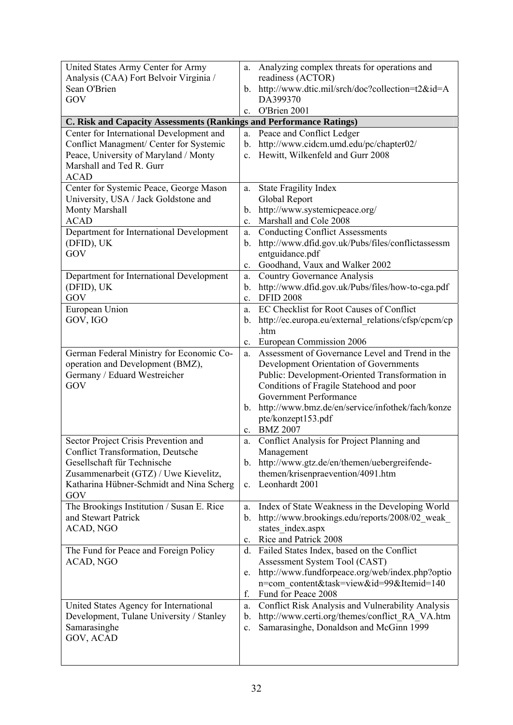| United States Army Center for Army<br>Analysis (CAA) Fort Belvoir Virginia /<br>Sean O'Brien | a.<br>$\mathbf{b}$ . | Analyzing complex threats for operations and<br>readiness (ACTOR)<br>http://www.dtic.mil/srch/doc?collection=t2&id=A |
|----------------------------------------------------------------------------------------------|----------------------|----------------------------------------------------------------------------------------------------------------------|
| GOV                                                                                          |                      | DA399370<br>c. O'Brien 2001                                                                                          |
| C. Risk and Capacity Assessments (Rankings and Performance Ratings)                          |                      |                                                                                                                      |
| Center for International Development and                                                     | a.                   | Peace and Conflict Ledger                                                                                            |
| Conflict Managment/ Center for Systemic                                                      | b.                   | http://www.cidcm.umd.edu/pc/chapter02/                                                                               |
| Peace, University of Maryland / Monty<br>Marshall and Ted R. Gurr                            | $\mathbf{c}$ .       | Hewitt, Wilkenfeld and Gurr 2008                                                                                     |
| <b>ACAD</b>                                                                                  |                      |                                                                                                                      |
| Center for Systemic Peace, George Mason                                                      | a.                   | <b>State Fragility Index</b>                                                                                         |
| University, USA / Jack Goldstone and                                                         |                      | Global Report                                                                                                        |
| Monty Marshall                                                                               | b.                   | http://www.systemicpeace.org/                                                                                        |
| <b>ACAD</b>                                                                                  | c.                   | Marshall and Cole 2008                                                                                               |
| Department for International Development                                                     | a.                   | <b>Conducting Conflict Assessments</b>                                                                               |
| (DFID), UK                                                                                   | b.                   | http://www.dfid.gov.uk/Pubs/files/conflictassessm                                                                    |
| GOV                                                                                          |                      | entguidance.pdf<br>Goodhand, Vaux and Walker 2002                                                                    |
| Department for International Development                                                     | $\mathbf{c}$ .<br>a. | <b>Country Governance Analysis</b>                                                                                   |
| (DFID), UK                                                                                   | b.                   | http://www.dfid.gov.uk/Pubs/files/how-to-cga.pdf                                                                     |
| GOV                                                                                          | $\mathbf{c}$ .       | <b>DFID 2008</b>                                                                                                     |
| European Union                                                                               | a.                   | EC Checklist for Root Causes of Conflict                                                                             |
| GOV, IGO                                                                                     | b.                   | http://ec.europa.eu/external relations/cfsp/cpcm/cp                                                                  |
|                                                                                              |                      | .htm                                                                                                                 |
|                                                                                              | C <sub>1</sub>       | European Commission 2006                                                                                             |
| German Federal Ministry for Economic Co-                                                     | a.                   | Assessment of Governance Level and Trend in the                                                                      |
| operation and Development (BMZ),<br>Germany / Eduard Westreicher                             |                      | Development Orientation of Governments<br>Public: Development-Oriented Transformation in                             |
| GOV                                                                                          |                      | Conditions of Fragile Statehood and poor                                                                             |
|                                                                                              |                      | Government Performance                                                                                               |
|                                                                                              | $\mathbf{b}$ .       | http://www.bmz.de/en/service/infothek/fach/konze                                                                     |
|                                                                                              |                      | pte/konzept153.pdf                                                                                                   |
|                                                                                              | $\mathbf{c}$ .       | <b>BMZ 2007</b>                                                                                                      |
| Sector Project Crisis Prevention and<br><b>Conflict Transformation, Deutsche</b>             | a.                   | Conflict Analysis for Project Planning and                                                                           |
| Gesellschaft für Technische                                                                  | $b_{\cdot}$          | Management<br>http://www.gtz.de/en/themen/uebergreifende-                                                            |
| Zusammenarbeit (GTZ) / Uwe Kievelitz,                                                        |                      | themen/krisenpraevention/4091.htm                                                                                    |
| Katharina Hübner-Schmidt and Nina Scherg                                                     | $c_{\cdot}$          | Leonhardt 2001                                                                                                       |
| GOV                                                                                          |                      |                                                                                                                      |
| The Brookings Institution / Susan E. Rice                                                    | a.                   | Index of State Weakness in the Developing World                                                                      |
| and Stewart Patrick                                                                          | b.                   | http://www.brookings.edu/reports/2008/02 weak                                                                        |
| ACAD, NGO                                                                                    |                      | states index.aspx                                                                                                    |
| The Fund for Peace and Foreign Policy                                                        | $\mathbf{c}$ .<br>d. | Rice and Patrick 2008<br>Failed States Index, based on the Conflict                                                  |
| ACAD, NGO                                                                                    |                      | Assessment System Tool (CAST)                                                                                        |
|                                                                                              | e.                   | http://www.fundforpeace.org/web/index.php?optio                                                                      |
|                                                                                              |                      | n=com content&task=view&id=99&Itemid=140                                                                             |
|                                                                                              | f.                   | Fund for Peace 2008                                                                                                  |
| United States Agency for International                                                       | a.                   | Conflict Risk Analysis and Vulnerability Analysis                                                                    |
| Development, Tulane University / Stanley                                                     | $\mathbf{b}$ .       | http://www.certi.org/themes/conflict RA VA.htm                                                                       |
| Samarasinghe<br>GOV, ACAD                                                                    | c.                   | Samarasinghe, Donaldson and McGinn 1999                                                                              |
|                                                                                              |                      |                                                                                                                      |
|                                                                                              |                      |                                                                                                                      |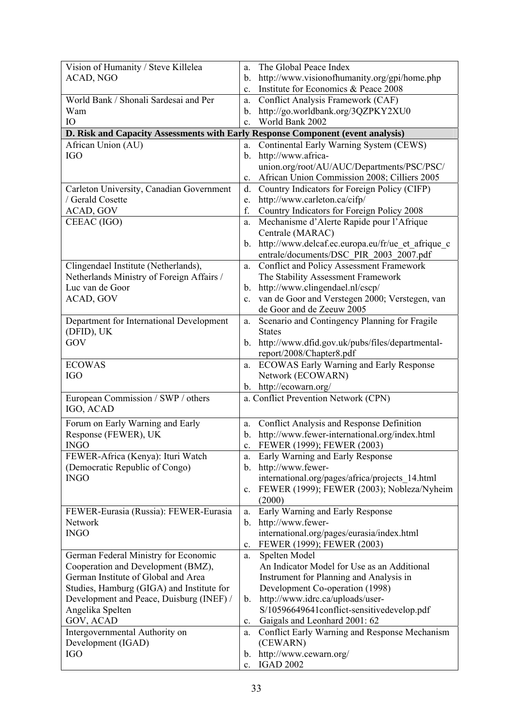| Vision of Humanity / Steve Killelea                                             | The Global Peace Index<br>a.                                  |
|---------------------------------------------------------------------------------|---------------------------------------------------------------|
| ACAD, NGO                                                                       | http://www.visionofhumanity.org/gpi/home.php<br>b.            |
|                                                                                 | Institute for Economics & Peace 2008<br>$\mathbf{c}$ .        |
| World Bank / Shonali Sardesai and Per                                           | Conflict Analysis Framework (CAF)<br>a.                       |
| Wam                                                                             | http://go.worldbank.org/3QZPKY2XU0<br>b.                      |
| IO                                                                              | World Bank 2002<br>$c_{\cdot}$                                |
| D. Risk and Capacity Assessments with Early Response Component (event analysis) |                                                               |
| African Union (AU)                                                              | Continental Early Warning System (CEWS)<br>a.                 |
| <b>IGO</b>                                                                      | b. http://www.africa-                                         |
|                                                                                 | union.org/root/AU/AUC/Departments/PSC/PSC/                    |
|                                                                                 | African Union Commission 2008; Cilliers 2005<br>$c_{\cdot}$   |
| Carleton University, Canadian Government                                        | Country Indicators for Foreign Policy (CIFP)<br>d.            |
| / Gerald Cosette                                                                | http://www.carleton.ca/cifp/<br>e.                            |
| ACAD, GOV                                                                       | f.<br>Country Indicators for Foreign Policy 2008              |
| CEEAC (IGO)                                                                     | Mechanisme d'Alerte Rapide pour l'Afrique<br>a.               |
|                                                                                 | Centrale (MARAC)                                              |
|                                                                                 | b. http://www.delcaf.ec.europa.eu/fr/ue et afrique c          |
|                                                                                 | entrale/documents/DSC PIR 2003 2007.pdf                       |
| Clingendael Institute (Netherlands),                                            | Conflict and Policy Assessment Framework<br>a.                |
| Netherlands Ministry of Foreign Affairs /                                       | The Stability Assessment Framework                            |
| Luc van de Goor                                                                 | b. http://www.clingendael.nl/cscp/                            |
| ACAD, GOV                                                                       | van de Goor and Verstegen 2000; Verstegen, van<br>$c_{\cdot}$ |
|                                                                                 | de Goor and de Zeeuw 2005                                     |
| Department for International Development                                        | Scenario and Contingency Planning for Fragile<br>a.           |
| (DFID), UK                                                                      | <b>States</b>                                                 |
| GOV                                                                             | http://www.dfid.gov.uk/pubs/files/departmental-<br>$b_{-}$    |
|                                                                                 | report/2008/Chapter8.pdf                                      |
| <b>ECOWAS</b>                                                                   | <b>ECOWAS Early Warning and Early Response</b><br>a.          |
| <b>IGO</b>                                                                      | Network (ECOWARN)                                             |
|                                                                                 | b. http://ecowarn.org/                                        |
| European Commission / SWP / others                                              | a. Conflict Prevention Network (CPN)                          |
| IGO, ACAD                                                                       |                                                               |
| Forum on Early Warning and Early                                                | Conflict Analysis and Response Definition<br>a.               |
| Response (FEWER), UK                                                            | http://www.fewer-international.org/index.html<br>$b_{\cdot}$  |
| <b>INGO</b>                                                                     | FEWER (1999); FEWER (2003)<br>$\mathbf{c}$ .                  |
| FEWER-Africa (Kenya): Ituri Watch                                               | Early Warning and Early Response<br>a.                        |
| (Democratic Republic of Congo)                                                  | b. http://www.fewer-                                          |
| <b>INGO</b>                                                                     | international.org/pages/africa/projects 14.html               |
|                                                                                 | FEWER (1999); FEWER (2003); Nobleza/Nyheim<br>$c_{\cdot}$     |
|                                                                                 | (2000)                                                        |
| FEWER-Eurasia (Russia): FEWER-Eurasia                                           | Early Warning and Early Response<br>a.                        |
| Network                                                                         | http://www.fewer-<br>$b_{-}$                                  |
| <b>INGO</b>                                                                     | international.org/pages/eurasia/index.html                    |
|                                                                                 | FEWER (1999); FEWER (2003)<br>$\mathbf{c}$ .                  |
| German Federal Ministry for Economic                                            | Spelten Model<br>a.                                           |
| Cooperation and Development (BMZ),                                              | An Indicator Model for Use as an Additional                   |
| German Institute of Global and Area                                             | Instrument for Planning and Analysis in                       |
| Studies, Hamburg (GIGA) and Institute for                                       | Development Co-operation (1998)                               |
| Development and Peace, Duisburg (INEF) /                                        | http://www.idrc.ca/uploads/user-<br>b.                        |
| Angelika Spelten                                                                | S/10596649641conflict-sensitivedevelop.pdf                    |
| GOV, ACAD                                                                       | Gaigals and Leonhard 2001: 62<br>c.                           |
| Intergovernmental Authority on                                                  | Conflict Early Warning and Response Mechanism<br>a.           |
| Development (IGAD)                                                              | (CEWARN)                                                      |
| <b>IGO</b>                                                                      | http://www.cewarn.org/<br>$b_{\cdot}$                         |
|                                                                                 | <b>IGAD 2002</b><br>$c_{-}$                                   |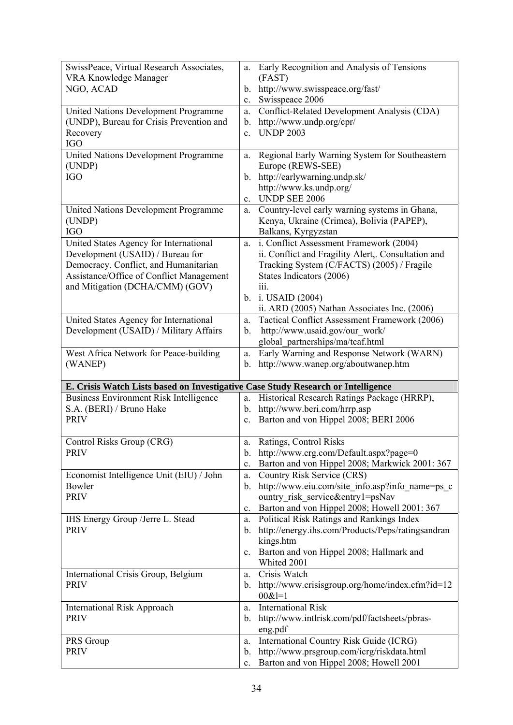| SwissPeace, Virtual Research Associates,<br><b>VRA Knowledge Manager</b>         | Early Recognition and Analysis of Tensions<br>a.<br>(FAST)                                           |
|----------------------------------------------------------------------------------|------------------------------------------------------------------------------------------------------|
| NGO, ACAD                                                                        | b. http://www.swisspeace.org/fast/                                                                   |
| United Nations Development Programme                                             | Swisspeace 2006<br>$c_{\cdot}$<br>Conflict-Related Development Analysis (CDA)<br>a.                  |
| (UNDP), Bureau for Crisis Prevention and                                         | http://www.undp.org/cpr/<br>$\mathbf{b}$ .                                                           |
| Recovery                                                                         | <b>UNDP 2003</b><br>$\mathbf{c}$ .                                                                   |
| <b>IGO</b>                                                                       |                                                                                                      |
| <b>United Nations Development Programme</b>                                      | Regional Early Warning System for Southeastern<br>a.                                                 |
| (UNDP)                                                                           | Europe (REWS-SEE)                                                                                    |
| <b>IGO</b>                                                                       | b. http://earlywarning.undp.sk/                                                                      |
|                                                                                  | http://www.ks.undp.org/                                                                              |
|                                                                                  | UNDP SEE 2006<br>$\mathbf{c}$ .                                                                      |
| United Nations Development Programme                                             | Country-level early warning systems in Ghana,<br>a.                                                  |
| (UNDP)                                                                           | Kenya, Ukraine (Crimea), Bolivia (PAPEP),                                                            |
| <b>IGO</b>                                                                       | Balkans, Kyrgyzstan                                                                                  |
| United States Agency for International<br>Development (USAID) / Bureau for       | i. Conflict Assessment Framework (2004)<br>a.<br>ii. Conflict and Fragility Alert,. Consultation and |
| Democracy, Conflict, and Humanitarian                                            | Tracking System (C/FACTS) (2005) / Fragile                                                           |
| Assistance/Office of Conflict Management                                         | States Indicators (2006)                                                                             |
| and Mitigation (DCHA/CMM) (GOV)                                                  | 111.                                                                                                 |
|                                                                                  | b. i. USAID $(2004)$                                                                                 |
|                                                                                  | ii. ARD (2005) Nathan Associates Inc. (2006)                                                         |
| United States Agency for International                                           | Tactical Conflict Assessment Framework (2006)<br>a.                                                  |
| Development (USAID) / Military Affairs                                           | http://www.usaid.gov/our work/<br>$\mathbf{b}$ .                                                     |
|                                                                                  | global_partnerships/ma/tcaf.html                                                                     |
| West Africa Network for Peace-building                                           | Early Warning and Response Network (WARN)<br>a.                                                      |
| (WANEP)                                                                          | b. http://www.wanep.org/aboutwanep.htm                                                               |
| E. Crisis Watch Lists based on Investigative Case Study Research or Intelligence |                                                                                                      |
| <b>Business Environment Risk Intelligence</b>                                    | Historical Research Ratings Package (HRRP),<br>a.                                                    |
| S.A. (BERI) / Bruno Hake                                                         | b. http://www.beri.com/hrrp.asp                                                                      |
| <b>PRIV</b>                                                                      | Barton and von Hippel 2008; BERI 2006<br>$c_{\cdot}$                                                 |
|                                                                                  |                                                                                                      |
| Control Risks Group (CRG)                                                        | Ratings, Control Risks<br>a.                                                                         |
| <b>PRIV</b>                                                                      | http://www.crg.com/Default.aspx?page=0<br>b.                                                         |
|                                                                                  | Barton and von Hippel 2008; Markwick 2001: 367<br>c.<br><b>Country Risk Service (CRS)</b>            |
| Economist Intelligence Unit (EIU) / John<br>Bowler                               | a.<br>http://www.eiu.com/site info.asp?info name=ps c<br>$\mathbf{b}$ .                              |
| <b>PRIV</b>                                                                      | ountry risk service&entry1=psNav                                                                     |
|                                                                                  | Barton and von Hippel 2008; Howell 2001: 367<br>$c_{\cdot}$                                          |
| IHS Energy Group /Jerre L. Stead                                                 | Political Risk Ratings and Rankings Index<br>a.                                                      |
| <b>PRIV</b>                                                                      | http://energy.ihs.com/Products/Peps/ratingsandran<br>$b_{\cdot}$                                     |
|                                                                                  | kings.htm                                                                                            |
|                                                                                  | c. Barton and von Hippel 2008; Hallmark and                                                          |
|                                                                                  | Whited 2001                                                                                          |
| International Crisis Group, Belgium                                              | Crisis Watch<br>a.                                                                                   |
| <b>PRIV</b>                                                                      | b. http://www.crisisgroup.org/home/index.cfm?id=12<br>$00&1=1$                                       |
| <b>International Risk Approach</b>                                               | <b>International Risk</b><br>a.                                                                      |
| <b>PRIV</b>                                                                      | http://www.intlrisk.com/pdf/factsheets/pbras-<br>b.                                                  |
|                                                                                  |                                                                                                      |
|                                                                                  |                                                                                                      |
| PRS Group                                                                        | eng.pdf<br>International Country Risk Guide (ICRG)<br>a.                                             |
| <b>PRIV</b>                                                                      | http://www.prsgroup.com/icrg/riskdata.html<br>b.<br>Barton and von Hippel 2008; Howell 2001          |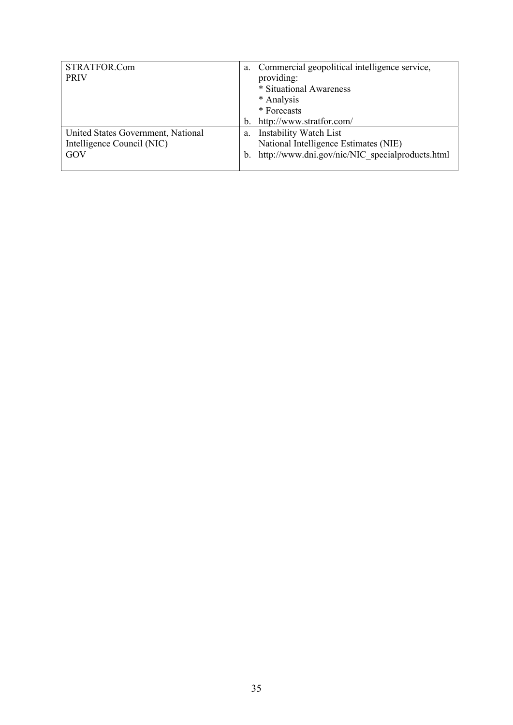| STRATFOR.Com                       | a.          | Commercial geopolitical intelligence service,   |
|------------------------------------|-------------|-------------------------------------------------|
| <b>PRIV</b>                        |             | providing:                                      |
|                                    |             | * Situational Awareness                         |
|                                    |             | * Analysis                                      |
|                                    |             | * Forecasts                                     |
|                                    | $b_{\cdot}$ | http://www.stratfor.com/                        |
| United States Government, National | a.          | <b>Instability Watch List</b>                   |
| Intelligence Council (NIC)         |             | National Intelligence Estimates (NIE)           |
| GOV                                | $b_{1}$     | http://www.dni.gov/nic/NIC specialproducts.html |
|                                    |             |                                                 |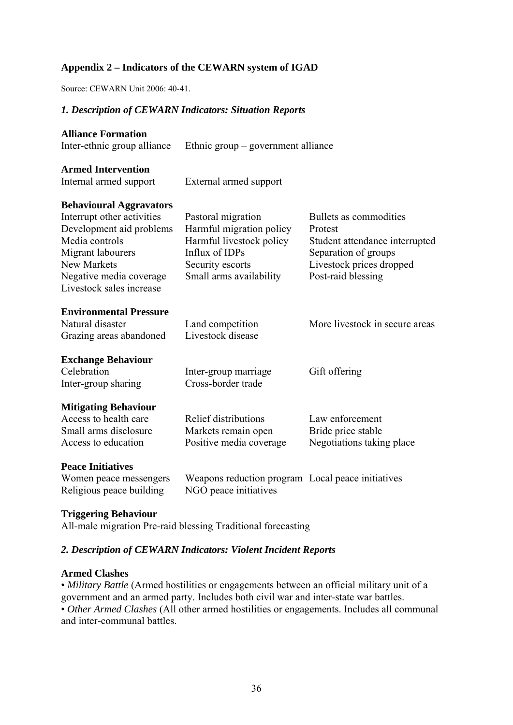#### **Appendix 2 – Indicators of the CEWARN system of IGAD**

Source: CEWARN Unit 2006: 40-41.

#### *1. Description of CEWARN Indicators: Situation Reports*

| <b>Alliance Formation</b><br>Inter-ethnic group alliance                                                                                                                                              | Ethnic group – government alliance                                                                                                          |                                                                                                                                               |
|-------------------------------------------------------------------------------------------------------------------------------------------------------------------------------------------------------|---------------------------------------------------------------------------------------------------------------------------------------------|-----------------------------------------------------------------------------------------------------------------------------------------------|
| <b>Armed Intervention</b><br>Internal armed support                                                                                                                                                   | External armed support                                                                                                                      |                                                                                                                                               |
| <b>Behavioural Aggravators</b><br>Interrupt other activities<br>Development aid problems<br>Media controls<br>Migrant labourers<br>New Markets<br>Negative media coverage<br>Livestock sales increase | Pastoral migration<br>Harmful migration policy<br>Harmful livestock policy<br>Influx of IDPs<br>Security escorts<br>Small arms availability | Bullets as commodities<br>Protest<br>Student attendance interrupted<br>Separation of groups<br>Livestock prices dropped<br>Post-raid blessing |
| <b>Environmental Pressure</b><br>Natural disaster<br>Grazing areas abandoned                                                                                                                          | Land competition<br>Livestock disease                                                                                                       | More livestock in secure areas                                                                                                                |
| <b>Exchange Behaviour</b><br>Celebration<br>Inter-group sharing                                                                                                                                       | Inter-group marriage<br>Cross-border trade                                                                                                  | Gift offering                                                                                                                                 |
| <b>Mitigating Behaviour</b><br>Access to health care<br>Small arms disclosure<br>Access to education                                                                                                  | Relief distributions<br>Markets remain open<br>Positive media coverage                                                                      | Law enforcement<br>Bride price stable<br>Negotiations taking place                                                                            |
| <b>Peace Initiatives</b><br>Women peace messengers<br>Religious peace building                                                                                                                        | Weapons reduction program Local peace initiatives<br>NGO peace initiatives                                                                  |                                                                                                                                               |

#### **Triggering Behaviour**

All-male migration Pre-raid blessing Traditional forecasting

#### *2. Description of CEWARN Indicators: Violent Incident Reports*

#### **Armed Clashes**

• *Military Battle* (Armed hostilities or engagements between an official military unit of a government and an armed party. Includes both civil war and inter-state war battles. • *Other Armed Clashes* (All other armed hostilities or engagements. Includes all communal and inter-communal battles.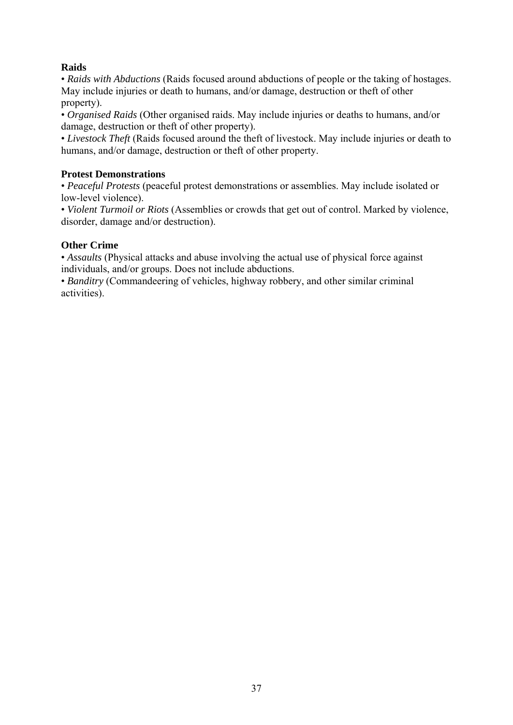#### **Raids**

• *Raids with Abductions* (Raids focused around abductions of people or the taking of hostages. May include injuries or death to humans, and/or damage, destruction or theft of other property).

• *Organised Raids* (Other organised raids. May include injuries or deaths to humans, and/or damage, destruction or theft of other property).

• *Livestock Theft* (Raids focused around the theft of livestock. May include injuries or death to humans, and/or damage, destruction or theft of other property.

#### **Protest Demonstrations**

• *Peaceful Protests* (peaceful protest demonstrations or assemblies. May include isolated or low-level violence).

• *Violent Turmoil or Riots* (Assemblies or crowds that get out of control. Marked by violence, disorder, damage and/or destruction).

#### **Other Crime**

• *Assaults* (Physical attacks and abuse involving the actual use of physical force against individuals, and/or groups. Does not include abductions.

• *Banditry* (Commandeering of vehicles, highway robbery, and other similar criminal activities).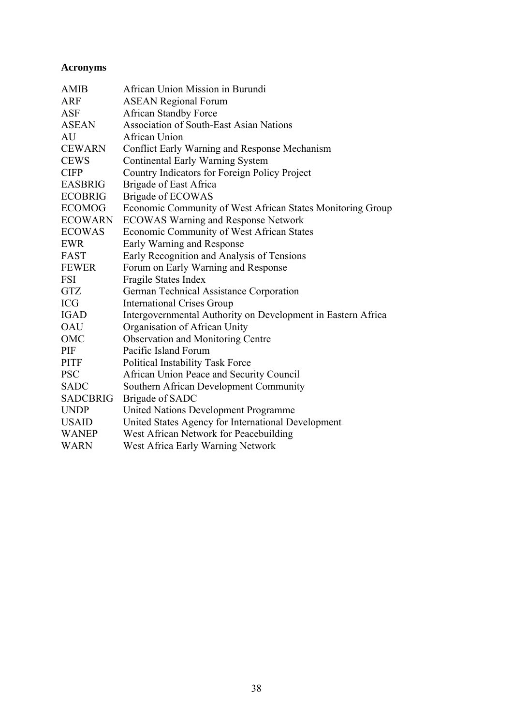#### **Acronyms**

| <b>AMIB</b>     | African Union Mission in Burundi                             |
|-----------------|--------------------------------------------------------------|
| <b>ARF</b>      | <b>ASEAN Regional Forum</b>                                  |
| <b>ASF</b>      | <b>African Standby Force</b>                                 |
| <b>ASEAN</b>    | <b>Association of South-East Asian Nations</b>               |
| AU              | <b>African Union</b>                                         |
| <b>CEWARN</b>   | Conflict Early Warning and Response Mechanism                |
| <b>CEWS</b>     | Continental Early Warning System                             |
| <b>CIFP</b>     | Country Indicators for Foreign Policy Project                |
| <b>EASBRIG</b>  | <b>Brigade of East Africa</b>                                |
| <b>ECOBRIG</b>  | <b>Brigade of ECOWAS</b>                                     |
| <b>ECOMOG</b>   | Economic Community of West African States Monitoring Group   |
| <b>ECOWARN</b>  | <b>ECOWAS Warning and Response Network</b>                   |
| <b>ECOWAS</b>   | Economic Community of West African States                    |
| <b>EWR</b>      | Early Warning and Response                                   |
| FAST            | Early Recognition and Analysis of Tensions                   |
| <b>FEWER</b>    | Forum on Early Warning and Response                          |
| <b>FSI</b>      | Fragile States Index                                         |
| <b>GTZ</b>      | German Technical Assistance Corporation                      |
| <b>ICG</b>      | <b>International Crises Group</b>                            |
| <b>IGAD</b>     | Intergovernmental Authority on Development in Eastern Africa |
| <b>OAU</b>      | Organisation of African Unity                                |
| OMC             | <b>Observation and Monitoring Centre</b>                     |
| PIF             | Pacific Island Forum                                         |
| <b>PITF</b>     | <b>Political Instability Task Force</b>                      |
| <b>PSC</b>      | African Union Peace and Security Council                     |
| <b>SADC</b>     | Southern African Development Community                       |
| <b>SADCBRIG</b> | Brigade of SADC                                              |
| <b>UNDP</b>     | United Nations Development Programme                         |
| <b>USAID</b>    | United States Agency for International Development           |
| <b>WANEP</b>    | West African Network for Peacebuilding                       |
| <b>WARN</b>     | West Africa Early Warning Network                            |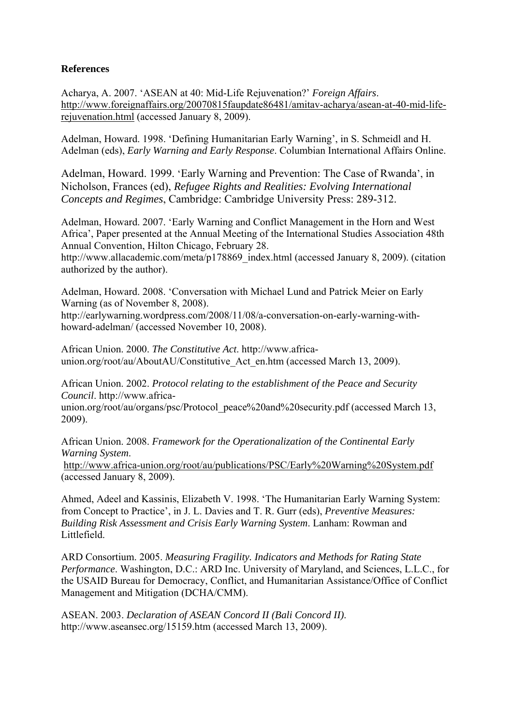#### **References**

Acharya, A. 2007. 'ASEAN at 40: Mid-Life Rejuvenation?' *Foreign Affairs*. http://www.foreignaffairs.org/20070815faupdate86481/amitav-acharya/asean-at-40-mid-liferejuvenation.html (accessed January 8, 2009).

Adelman, Howard. 1998. 'Defining Humanitarian Early Warning', in S. Schmeidl and H. Adelman (eds), *Early Warning and Early Response*. Columbian International Affairs Online.

Adelman, Howard. 1999. 'Early Warning and Prevention: The Case of Rwanda', in Nicholson, Frances (ed), *Refugee Rights and Realities: Evolving International Concepts and Regimes*, Cambridge: Cambridge University Press: 289-312.

Adelman, Howard. 2007. 'Early Warning and Conflict Management in the Horn and West Africa', Paper presented at the Annual Meeting of the International Studies Association 48th Annual Convention, Hilton Chicago, February 28.

http://www.allacademic.com/meta/p178869\_index.html (accessed January 8, 2009). (citation authorized by the author).

Adelman, Howard. 2008. 'Conversation with Michael Lund and Patrick Meier on Early Warning (as of November 8, 2008).

http://earlywarning.wordpress.com/2008/11/08/a-conversation-on-early-warning-withhoward-adelman/ (accessed November 10, 2008).

African Union. 2000. *The Constitutive Act*. http://www.africaunion.org/root/au/AboutAU/Constitutive Act en.htm (accessed March 13, 2009).

African Union. 2002. *Protocol relating to the establishment of the Peace and Security Council*. http://www.africa-

union.org/root/au/organs/psc/Protocol\_peace%20and%20security.pdf (accessed March 13, 2009).

African Union. 2008. *Framework for the Operationalization of the Continental Early Warning System*.

http://www.africa-union.org/root/au/publications/PSC/Early%20Warning%20System.pdf (accessed January 8, 2009).

Ahmed, Adeel and Kassinis, Elizabeth V. 1998. 'The Humanitarian Early Warning System: from Concept to Practice', in J. L. Davies and T. R. Gurr (eds), *Preventive Measures: Building Risk Assessment and Crisis Early Warning System*. Lanham: Rowman and Littlefield.

ARD Consortium. 2005. *Measuring Fragility. Indicators and Methods for Rating State Performance*. Washington, D.C.: ARD Inc. University of Maryland, and Sciences, L.L.C., for the USAID Bureau for Democracy, Conflict, and Humanitarian Assistance/Office of Conflict Management and Mitigation (DCHA/CMM).

ASEAN. 2003. *Declaration of ASEAN Concord II (Bali Concord II)*. http://www.aseansec.org/15159.htm (accessed March 13, 2009).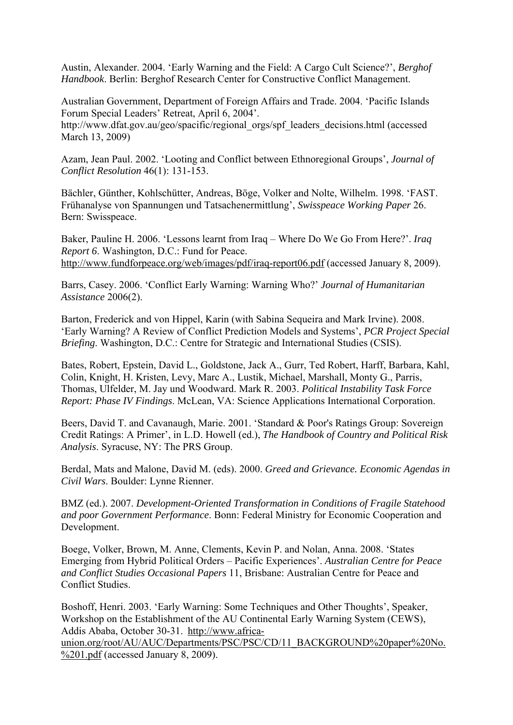Austin, Alexander. 2004. 'Early Warning and the Field: A Cargo Cult Science?', *Berghof Handbook*. Berlin: Berghof Research Center for Constructive Conflict Management.

Australian Government, Department of Foreign Affairs and Trade. 2004. 'Pacific Islands Forum Special Leaders' Retreat, April 6, 2004'.

http://www.dfat.gov.au/geo/spacific/regional\_orgs/spf\_leaders\_decisions.html (accessed March 13, 2009)

Azam, Jean Paul. 2002. 'Looting and Conflict between Ethnoregional Groups', *Journal of Conflict Resolution* 46(1): 131-153.

Bächler, Günther, Kohlschütter, Andreas, Böge, Volker and Nolte, Wilhelm. 1998. 'FAST. Frühanalyse von Spannungen und Tatsachenermittlung', *Swisspeace Working Paper* 26. Bern: Swisspeace.

Baker, Pauline H. 2006. 'Lessons learnt from Iraq – Where Do We Go From Here?'. *Iraq Report 6*. Washington, D.C.: Fund for Peace. http://www.fundforpeace.org/web/images/pdf/iraq-report06.pdf (accessed January 8, 2009).

Barrs, Casey. 2006. 'Conflict Early Warning: Warning Who?' *Journal of Humanitarian Assistance* 2006(2).

Barton, Frederick and von Hippel, Karin (with Sabina Sequeira and Mark Irvine). 2008. 'Early Warning? A Review of Conflict Prediction Models and Systems', *PCR Project Special Briefing*. Washington, D.C.: Centre for Strategic and International Studies (CSIS).

Bates, Robert, Epstein, David L., Goldstone, Jack A., Gurr, Ted Robert, Harff, Barbara, Kahl, Colin, Knight, H. Kristen, Levy, Marc A., Lustik, Michael, Marshall, Monty G., Parris, Thomas, Ulfelder, M. Jay und Woodward. Mark R. 2003. *Political Instability Task Force Report: Phase IV Findings*. McLean, VA: Science Applications International Corporation.

Beers, David T. and Cavanaugh, Marie. 2001. 'Standard & Poor's Ratings Group: Sovereign Credit Ratings: A Primer', in L.D. Howell (ed.), *The Handbook of Country and Political Risk Analysis*. Syracuse, NY: The PRS Group.

Berdal, Mats and Malone, David M. (eds). 2000. *Greed and Grievance. Economic Agendas in Civil Wars*. Boulder: Lynne Rienner.

BMZ (ed.). 2007. *Development-Oriented Transformation in Conditions of Fragile Statehood and poor Government Performance*. Bonn: Federal Ministry for Economic Cooperation and Development.

Boege, Volker, Brown, M. Anne, Clements, Kevin P. and Nolan, Anna. 2008. 'States Emerging from Hybrid Political Orders – Pacific Experiences'. *Australian Centre for Peace and Conflict Studies Occasional Papers* 11, Brisbane: Australian Centre for Peace and Conflict Studies.

Boshoff, Henri. 2003. 'Early Warning: Some Techniques and Other Thoughts', Speaker, Workshop on the Establishment of the AU Continental Early Warning System (CEWS), Addis Ababa, October 30-31. http://www.africaunion.org/root/AU/AUC/Departments/PSC/PSC/CD/11\_BACKGROUND%20paper%20No.

%201.pdf (accessed January 8, 2009).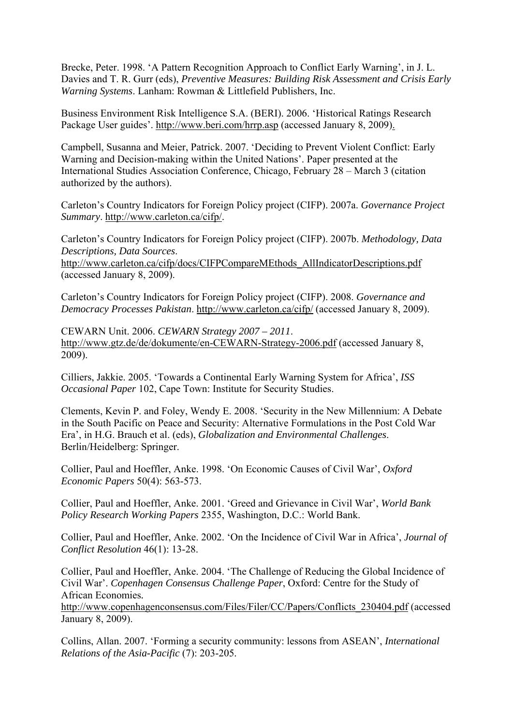Brecke, Peter. 1998. 'A Pattern Recognition Approach to Conflict Early Warning', in J. L. Davies and T. R. Gurr (eds), *Preventive Measures: Building Risk Assessment and Crisis Early Warning Systems*. Lanham: Rowman & Littlefield Publishers, Inc.

Business Environment Risk Intelligence S.A. (BERI). 2006. 'Historical Ratings Research Package User guides'. http://www.beri.com/hrrp.asp (accessed January 8, 2009).

Campbell, Susanna and Meier, Patrick. 2007. 'Deciding to Prevent Violent Conflict: Early Warning and Decision-making within the United Nations'. Paper presented at the International Studies Association Conference, Chicago, February 28 – March 3 (citation authorized by the authors).

Carleton's Country Indicators for Foreign Policy project (CIFP). 2007a. *Governance Project Summary*. http://www.carleton.ca/cifp/.

Carleton's Country Indicators for Foreign Policy project (CIFP). 2007b. *Methodology, Data Descriptions, Data Sources*.

http://www.carleton.ca/cifp/docs/CIFPCompareMEthods\_AllIndicatorDescriptions.pdf (accessed January 8, 2009).

Carleton's Country Indicators for Foreign Policy project (CIFP). 2008. *Governance and Democracy Processes Pakistan*. http://www.carleton.ca/cifp/ (accessed January 8, 2009).

CEWARN Unit. 2006. *CEWARN Strategy 2007 – 2011*. http://www.gtz.de/de/dokumente/en-CEWARN-Strategy-2006.pdf (accessed January 8, 2009).

Cilliers, Jakkie. 2005. 'Towards a Continental Early Warning System for Africa', *ISS Occasional Paper* 102, Cape Town: Institute for Security Studies.

Clements, Kevin P. and Foley, Wendy E. 2008. 'Security in the New Millennium: A Debate in the South Pacific on Peace and Security: Alternative Formulations in the Post Cold War Era', in H.G. Brauch et al. (eds), *Globalization and Environmental Challenges*. Berlin/Heidelberg: Springer.

Collier, Paul and Hoeffler, Anke. 1998. 'On Economic Causes of Civil War', *Oxford Economic Papers* 50(4): 563-573.

Collier, Paul and Hoeffler, Anke. 2001. 'Greed and Grievance in Civil War', *World Bank Policy Research Working Papers* 2355, Washington, D.C.: World Bank.

Collier, Paul and Hoeffler, Anke. 2002. 'On the Incidence of Civil War in Africa', *Journal of Conflict Resolution* 46(1): 13-28.

Collier, Paul and Hoeffler, Anke. 2004. 'The Challenge of Reducing the Global Incidence of Civil War'. *Copenhagen Consensus Challenge Paper*, Oxford: Centre for the Study of African Economies*.* 

http://www.copenhagenconsensus.com/Files/Filer/CC/Papers/Conflicts\_230404.pdf (accessed January 8, 2009).

Collins, Allan. 2007. 'Forming a security community: lessons from ASEAN', *International Relations of the Asia-Pacific* (7): 203-205.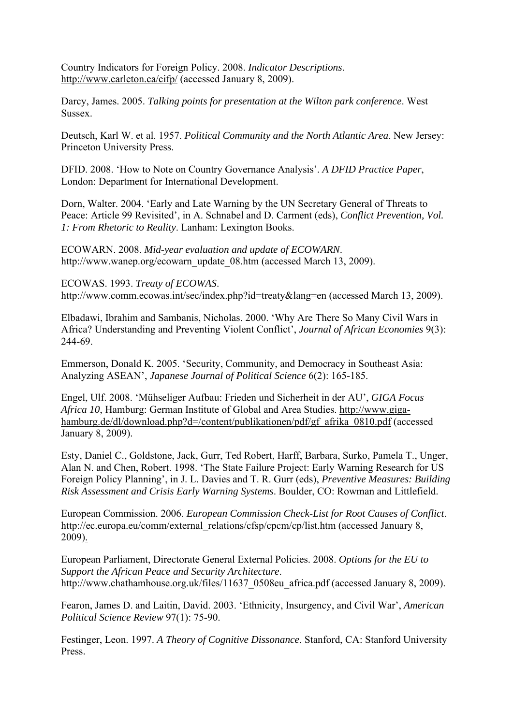Country Indicators for Foreign Policy. 2008. *Indicator Descriptions*. http://www.carleton.ca/cifp/ (accessed January 8, 2009).

Darcy, James. 2005. *Talking points for presentation at the Wilton park conference*. West Sussex.

Deutsch, Karl W. et al. 1957. *Political Community and the North Atlantic Area*. New Jersey: Princeton University Press.

DFID. 2008. 'How to Note on Country Governance Analysis'. *A DFID Practice Paper*, London: Department for International Development.

Dorn, Walter. 2004. 'Early and Late Warning by the UN Secretary General of Threats to Peace: Article 99 Revisited', in A. Schnabel and D. Carment (eds), *Conflict Prevention, Vol. 1: From Rhetoric to Reality*. Lanham: Lexington Books.

ECOWARN. 2008. *Mid-year evaluation and update of ECOWARN*. http://www.wanep.org/ecowarn\_update\_08.htm (accessed March 13, 2009).

ECOWAS. 1993. *Treaty of ECOWAS*. http://www.comm.ecowas.int/sec/index.php?id=treaty&lang=en (accessed March 13, 2009).

Elbadawi, Ibrahim and Sambanis, Nicholas. 2000. 'Why Are There So Many Civil Wars in Africa? Understanding and Preventing Violent Conflict', *Journal of African Economies* 9(3): 244-69.

Emmerson, Donald K. 2005. 'Security, Community, and Democracy in Southeast Asia: Analyzing ASEAN', *Japanese Journal of Political Science* 6(2): 165-185.

Engel, Ulf. 2008. 'Mühseliger Aufbau: Frieden und Sicherheit in der AU', *GIGA Focus Africa 10*, Hamburg: German Institute of Global and Area Studies. http://www.gigahamburg.de/dl/download.php?d=/content/publikationen/pdf/gf\_afrika\_0810.pdf (accessed January 8, 2009).

Esty, Daniel C., Goldstone, Jack, Gurr, Ted Robert, Harff, Barbara, Surko, Pamela T., Unger, Alan N. and Chen, Robert. 1998. 'The State Failure Project: Early Warning Research for US Foreign Policy Planning', in J. L. Davies and T. R. Gurr (eds), *Preventive Measures: Building Risk Assessment and Crisis Early Warning Systems*. Boulder, CO: Rowman and Littlefield.

European Commission. 2006. *European Commission Check-List for Root Causes of Conflict*. http://ec.europa.eu/comm/external\_relations/cfsp/cpcm/cp/list.htm (accessed January 8, 2009).

European Parliament, Directorate General External Policies. 2008. *Options for the EU to Support the African Peace and Security Architecture*. http://www.chathamhouse.org.uk/files/11637\_0508eu\_africa.pdf (accessed January 8, 2009).

Fearon, James D. and Laitin, David. 2003. 'Ethnicity, Insurgency, and Civil War', *American Political Science Review* 97(1): 75-90.

Festinger, Leon. 1997. *A Theory of Cognitive Dissonance*. Stanford, CA: Stanford University Press.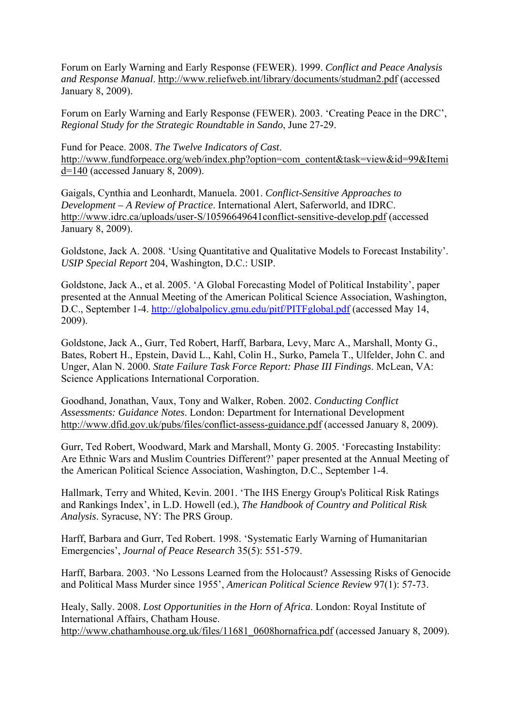Forum on Early Warning and Early Response (FEWER). 1999. *Conflict and Peace Analysis and Response Manual*. http://www.reliefweb.int/library/documents/studman2.pdf (accessed January 8, 2009).

Forum on Early Warning and Early Response (FEWER). 2003. 'Creating Peace in the DRC', *Regional Study for the Strategic Roundtable in Sando*, June 27-29.

Fund for Peace. 2008. *The Twelve Indicators of Cast*. http://www.fundforpeace.org/web/index.php?option=com\_content&task=view&id=99&Itemi d=140 (accessed January 8, 2009).

Gaigals, Cynthia and Leonhardt, Manuela. 2001. *Conflict-Sensitive Approaches to Development – A Review of Practice*. International Alert, Saferworld, and IDRC. http://www.idrc.ca/uploads/user-S/10596649641conflict-sensitive-develop.pdf (accessed January 8, 2009).

Goldstone, Jack A. 2008. 'Using Quantitative and Qualitative Models to Forecast Instability'. *USIP Special Report* 204, Washington, D.C.: USIP.

Goldstone, Jack A., et al. 2005. 'A Global Forecasting Model of Political Instability', paper presented at the Annual Meeting of the American Political Science Association, Washington, D.C., September 1-4. http://globalpolicy.gmu.edu/pitf/PITFglobal.pdf (accessed May 14, 2009).

Goldstone, Jack A., Gurr, Ted Robert, Harff, Barbara, Levy, Marc A., Marshall, Monty G., Bates, Robert H., Epstein, David L., Kahl, Colin H., Surko, Pamela T., Ulfelder, John C. and Unger, Alan N. 2000. *State Failure Task Force Report: Phase III Findings*. McLean, VA: Science Applications International Corporation.

Goodhand, Jonathan, Vaux, Tony and Walker, Roben. 2002. *Conducting Conflict Assessments: Guidance Notes*. London: Department for International Development http://www.dfid.gov.uk/pubs/files/conflict-assess-guidance.pdf (accessed January 8, 2009).

Gurr, Ted Robert, Woodward, Mark and Marshall, Monty G. 2005. 'Forecasting Instability: Are Ethnic Wars and Muslim Countries Different?' paper presented at the Annual Meeting of the American Political Science Association, Washington, D.C., September 1-4.

Hallmark, Terry and Whited, Kevin. 2001. 'The IHS Energy Group's Political Risk Ratings and Rankings Index', in L.D. Howell (ed.), *The Handbook of Country and Political Risk Analysis*. Syracuse, NY: The PRS Group.

Harff, Barbara and Gurr, Ted Robert. 1998. 'Systematic Early Warning of Humanitarian Emergencies', *Journal of Peace Research* 35(5): 551-579.

Harff, Barbara. 2003. 'No Lessons Learned from the Holocaust? Assessing Risks of Genocide and Political Mass Murder since 1955', *American Political Science Review* 97(1): 57-73.

Healy, Sally. 2008. *Lost Opportunities in the Horn of Africa*. London: Royal Institute of International Affairs, Chatham House.

http://www.chathamhouse.org.uk/files/11681\_0608hornafrica.pdf (accessed January 8, 2009).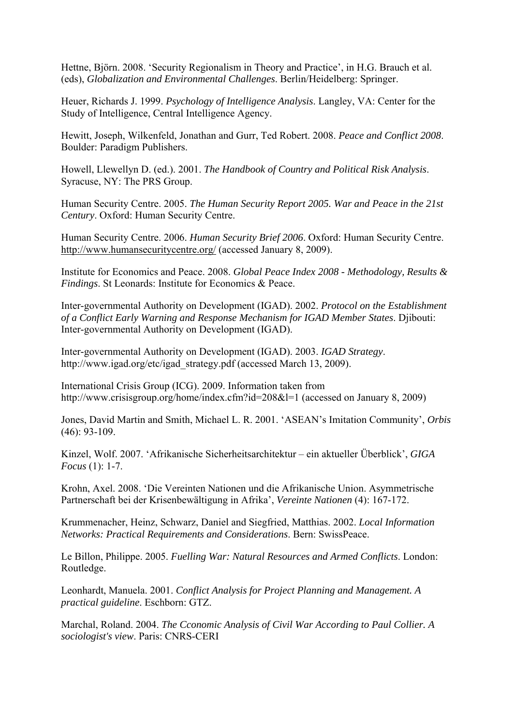Hettne, Björn. 2008. 'Security Regionalism in Theory and Practice', in H.G. Brauch et al. (eds), *Globalization and Environmental Challenges*. Berlin/Heidelberg: Springer.

Heuer, Richards J. 1999. *Psychology of Intelligence Analysis*. Langley, VA: Center for the Study of Intelligence, Central Intelligence Agency.

Hewitt, Joseph, Wilkenfeld, Jonathan and Gurr, Ted Robert. 2008. *Peace and Conflict 2008*. Boulder: Paradigm Publishers.

Howell, Llewellyn D. (ed.). 2001. *The Handbook of Country and Political Risk Analysis*. Syracuse, NY: The PRS Group.

Human Security Centre. 2005. *The Human Security Report 2005. War and Peace in the 21st Century*. Oxford: Human Security Centre.

Human Security Centre. 2006. *Human Security Brief 2006*. Oxford: Human Security Centre. http://www.humansecuritycentre.org/ (accessed January 8, 2009).

Institute for Economics and Peace. 2008. *Global Peace Index 2008 - Methodology, Results & Findings*. St Leonards: Institute for Economics & Peace.

Inter-governmental Authority on Development (IGAD). 2002. *Protocol on the Establishment of a Conflict Early Warning and Response Mechanism for IGAD Member States*. Djibouti: Inter-governmental Authority on Development (IGAD).

Inter-governmental Authority on Development (IGAD). 2003. *IGAD Strategy*. http://www.igad.org/etc/igad\_strategy.pdf (accessed March 13, 2009).

International Crisis Group (ICG). 2009. Information taken from http://www.crisisgroup.org/home/index.cfm?id=208&l=1 (accessed on January 8, 2009)

Jones, David Martin and Smith, Michael L. R. 2001. 'ASEAN's Imitation Community', *Orbis* (46): 93-109.

Kinzel, Wolf. 2007. 'Afrikanische Sicherheitsarchitektur – ein aktueller Überblick', *GIGA Focus* (1): 1-7.

Krohn, Axel. 2008. 'Die Vereinten Nationen und die Afrikanische Union. Asymmetrische Partnerschaft bei der Krisenbewältigung in Afrika', *Vereinte Nationen* (4): 167-172.

Krummenacher, Heinz, Schwarz, Daniel and Siegfried, Matthias. 2002. *Local Information Networks: Practical Requirements and Considerations*. Bern: SwissPeace.

Le Billon, Philippe. 2005. *Fuelling War: Natural Resources and Armed Conflicts*. London: Routledge.

Leonhardt, Manuela. 2001. *Conflict Analysis for Project Planning and Management. A practical guideline*. Eschborn: GTZ.

Marchal, Roland. 2004. *The Cconomic Analysis of Civil War According to Paul Collier. A sociologist's view*. Paris: CNRS-CERI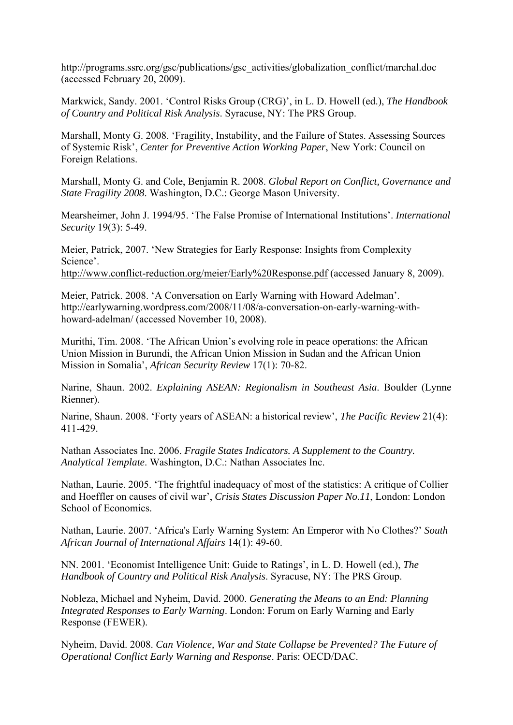http://programs.ssrc.org/gsc/publications/gsc\_activities/globalization\_conflict/marchal.doc (accessed February 20, 2009).

Markwick, Sandy. 2001. 'Control Risks Group (CRG)', in L. D. Howell (ed.), *The Handbook of Country and Political Risk Analysis*. Syracuse, NY: The PRS Group.

Marshall, Monty G. 2008. 'Fragility, Instability, and the Failure of States. Assessing Sources of Systemic Risk', *Center for Preventive Action Working Paper*, New York: Council on Foreign Relations.

Marshall, Monty G. and Cole, Benjamin R. 2008. *Global Report on Conflict, Governance and State Fragility 2008*. Washington, D.C.: George Mason University.

Mearsheimer, John J. 1994/95. 'The False Promise of International Institutions'. *International Security* 19(3): 5-49.

Meier, Patrick, 2007. 'New Strategies for Early Response: Insights from Complexity Science'.

http://www.conflict-reduction.org/meier/Early%20Response.pdf (accessed January 8, 2009).

Meier, Patrick. 2008. 'A Conversation on Early Warning with Howard Adelman'. http://earlywarning.wordpress.com/2008/11/08/a-conversation-on-early-warning-withhoward-adelman/ (accessed November 10, 2008).

Murithi, Tim. 2008. 'The African Union's evolving role in peace operations: the African Union Mission in Burundi, the African Union Mission in Sudan and the African Union Mission in Somalia', *African Security Review* 17(1): 70-82.

Narine, Shaun. 2002. *Explaining ASEAN: Regionalism in Southeast Asia*. Boulder (Lynne Rienner).

Narine, Shaun. 2008. 'Forty years of ASEAN: a historical review', *The Pacific Review* 21(4): 411-429.

Nathan Associates Inc. 2006. *Fragile States Indicators. A Supplement to the Country. Analytical Template*. Washington, D.C.: Nathan Associates Inc.

Nathan, Laurie. 2005. 'The frightful inadequacy of most of the statistics: A critique of Collier and Hoeffler on causes of civil war', *Crisis States Discussion Paper No.11*, London: London School of Economics.

Nathan, Laurie. 2007. 'Africa's Early Warning System: An Emperor with No Clothes?' *South African Journal of International Affairs* 14(1): 49-60.

NN. 2001. 'Economist Intelligence Unit: Guide to Ratings', in L. D. Howell (ed.), *The Handbook of Country and Political Risk Analysis*. Syracuse, NY: The PRS Group.

Nobleza, Michael and Nyheim, David. 2000. *Generating the Means to an End: Planning Integrated Responses to Early Warning*. London: Forum on Early Warning and Early Response (FEWER).

Nyheim, David. 2008. *Can Violence, War and State Collapse be Prevented? The Future of Operational Conflict Early Warning and Response*. Paris: OECD/DAC.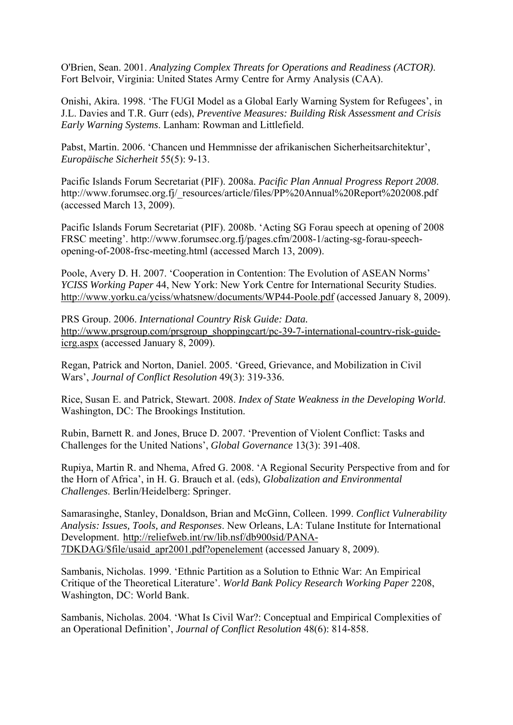O'Brien, Sean. 2001. *Analyzing Complex Threats for Operations and Readiness (ACTOR)*. Fort Belvoir, Virginia: United States Army Centre for Army Analysis (CAA).

Onishi, Akira. 1998. 'The FUGI Model as a Global Early Warning System for Refugees', in J.L. Davies and T.R. Gurr (eds), *Preventive Measures: Building Risk Assessment and Crisis Early Warning Systems*. Lanham: Rowman and Littlefield.

Pabst, Martin. 2006. 'Chancen und Hemmnisse der afrikanischen Sicherheitsarchitektur', *Europäische Sicherheit* 55(5): 9-13.

Pacific Islands Forum Secretariat (PIF). 2008a. *Pacific Plan Annual Progress Report 2008*. http://www.forumsec.org.fj/\_resources/article/files/PP%20Annual%20Report%202008.pdf (accessed March 13, 2009).

Pacific Islands Forum Secretariat (PIF). 2008b. 'Acting SG Forau speech at opening of 2008 FRSC meeting'. http://www.forumsec.org.fj/pages.cfm/2008-1/acting-sg-forau-speechopening-of-2008-frsc-meeting.html (accessed March 13, 2009).

Poole, Avery D. H. 2007. 'Cooperation in Contention: The Evolution of ASEAN Norms' *YCISS Working Paper* 44, New York: New York Centre for International Security Studies. http://www.yorku.ca/yciss/whatsnew/documents/WP44-Poole.pdf (accessed January 8, 2009).

PRS Group. 2006. *International Country Risk Guide: Data.* http://www.prsgroup.com/prsgroup\_shoppingcart/pc-39-7-international-country-risk-guideicrg.aspx (accessed January 8, 2009).

Regan, Patrick and Norton, Daniel. 2005. 'Greed, Grievance, and Mobilization in Civil Wars', *Journal of Conflict Resolution* 49(3): 319-336.

Rice, Susan E. and Patrick, Stewart. 2008. *Index of State Weakness in the Developing World*. Washington, DC: The Brookings Institution.

Rubin, Barnett R. and Jones, Bruce D. 2007. 'Prevention of Violent Conflict: Tasks and Challenges for the United Nations', *Global Governance* 13(3): 391-408.

Rupiya, Martin R. and Nhema, Afred G. 2008. 'A Regional Security Perspective from and for the Horn of Africa', in H. G. Brauch et al. (eds), *Globalization and Environmental Challenges*. Berlin/Heidelberg: Springer.

Samarasinghe, Stanley, Donaldson, Brian and McGinn, Colleen. 1999. *Conflict Vulnerability Analysis: Issues, Tools, and Responses*. New Orleans, LA: Tulane Institute for International Development. http://reliefweb.int/rw/lib.nsf/db900sid/PANA-7DKDAG/\$file/usaid\_apr2001.pdf?openelement (accessed January 8, 2009).

Sambanis, Nicholas. 1999. 'Ethnic Partition as a Solution to Ethnic War: An Empirical Critique of the Theoretical Literature'. *World Bank Policy Research Working Paper* 2208, Washington, DC: World Bank.

Sambanis, Nicholas. 2004. 'What Is Civil War?: Conceptual and Empirical Complexities of an Operational Definition', *Journal of Conflict Resolution* 48(6): 814-858.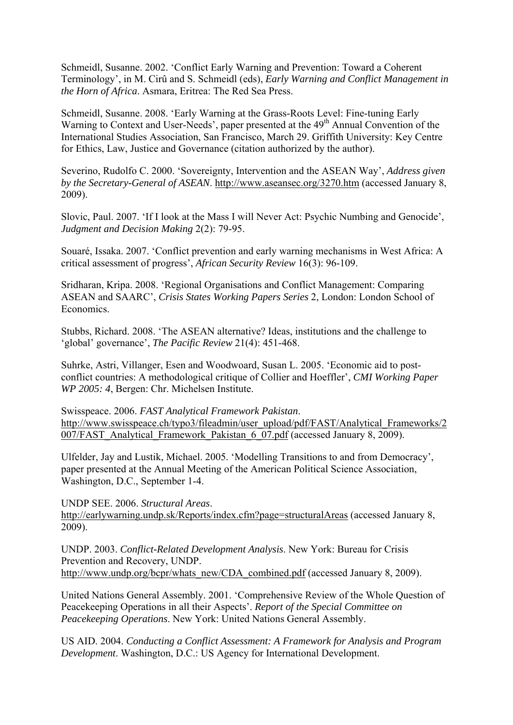Schmeidl, Susanne. 2002. 'Conflict Early Warning and Prevention: Toward a Coherent Terminology', in M. Cirû and S. Schmeidl (eds), *Early Warning and Conflict Management in the Horn of Africa*. Asmara, Eritrea: The Red Sea Press.

Schmeidl, Susanne. 2008. 'Early Warning at the Grass-Roots Level: Fine-tuning Early Warning to Context and User-Needs', paper presented at the 49<sup>th</sup> Annual Convention of the International Studies Association, San Francisco, March 29. Griffith University: Key Centre for Ethics, Law, Justice and Governance (citation authorized by the author).

Severino, Rudolfo C. 2000. 'Sovereignty, Intervention and the ASEAN Way', *Address given by the Secretary-General of ASEAN*. http://www.aseansec.org/3270.htm (accessed January 8, 2009).

Slovic, Paul. 2007. 'If I look at the Mass I will Never Act: Psychic Numbing and Genocide', *Judgment and Decision Making* 2(2): 79-95.

Souaré, Issaka. 2007. 'Conflict prevention and early warning mechanisms in West Africa: A critical assessment of progress', *African Security Review* 16(3): 96-109.

Sridharan, Kripa. 2008. 'Regional Organisations and Conflict Management: Comparing ASEAN and SAARC', *Crisis States Working Papers Series* 2, London: London School of Economics.

Stubbs, Richard. 2008. 'The ASEAN alternative? Ideas, institutions and the challenge to 'global' governance', *The Pacific Review* 21(4): 451-468.

Suhrke, Astri, Villanger, Esen and Woodwoard, Susan L. 2005. 'Economic aid to postconflict countries: A methodological critique of Collier and Hoeffler', *CMI Working Paper WP 2005: 4*, Bergen: Chr. Michelsen Institute.

Swisspeace. 2006. *FAST Analytical Framework Pakistan*. http://www.swisspeace.ch/typo3/fileadmin/user\_upload/pdf/FAST/Analytical\_Frameworks/2 007/FAST\_Analytical\_Framework\_Pakistan\_6\_07.pdf (accessed January 8, 2009).

Ulfelder, Jay and Lustik, Michael. 2005. 'Modelling Transitions to and from Democracy', paper presented at the Annual Meeting of the American Political Science Association, Washington, D.C., September 1-4.

UNDP SEE. 2006. *Structural Areas*.

http://earlywarning.undp.sk/Reports/index.cfm?page=structuralAreas (accessed January 8, 2009).

UNDP. 2003. *Conflict-Related Development Analysis*. New York: Bureau for Crisis Prevention and Recovery, UNDP. http://www.undp.org/bcpr/whats\_new/CDA\_combined.pdf (accessed January 8, 2009).

United Nations General Assembly. 2001. 'Comprehensive Review of the Whole Question of Peacekeeping Operations in all their Aspects'. *Report of the Special Committee on Peacekeeping Operations*. New York: United Nations General Assembly.

US AID. 2004. *Conducting a Conflict Assessment: A Framework for Analysis and Program Development*. Washington, D.C.: US Agency for International Development.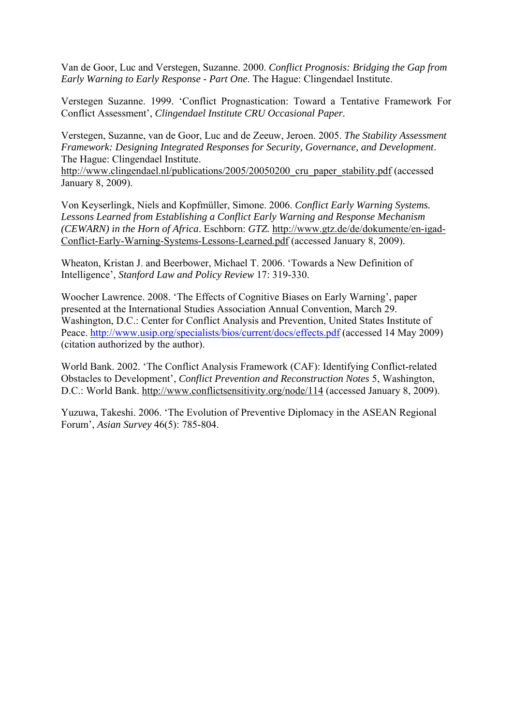Van de Goor, Luc and Verstegen, Suzanne. 2000. *Conflict Prognosis: Bridging the Gap from Early Warning to Early Response - Part One*. The Hague: Clingendael Institute.

Verstegen Suzanne. 1999. 'Conflict Prognastication: Toward a Tentative Framework For Conflict Assessment', *Clingendael Institute CRU Occasional Paper.*

Verstegen, Suzanne, van de Goor, Luc and de Zeeuw, Jeroen. 2005. *The Stability Assessment Framework: Designing Integrated Responses for Security, Governance, and Development*. The Hague: Clingendael Institute.

http://www.clingendael.nl/publications/2005/20050200 cru paper stability.pdf (accessed January 8, 2009).

Von Keyserlingk, Niels and Kopfmüller, Simone. 2006. *Conflict Early Warning Systems. Lessons Learned from Establishing a Conflict Early Warning and Response Mechanism (CEWARN) in the Horn of Africa*. Eschborn: *GTZ.* http://www.gtz.de/de/dokumente/en-igad-Conflict-Early-Warning-Systems-Lessons-Learned.pdf (accessed January 8, 2009).

Wheaton, Kristan J. and Beerbower, Michael T. 2006. 'Towards a New Definition of Intelligence', *Stanford Law and Policy Review* 17: 319-330.

Woocher Lawrence. 2008. 'The Effects of Cognitive Biases on Early Warning', paper presented at the International Studies Association Annual Convention, March 29. Washington, D.C.: Center for Conflict Analysis and Prevention, United States Institute of Peace. http://www.usip.org/specialists/bios/current/docs/effects.pdf (accessed 14 May 2009) (citation authorized by the author).

World Bank. 2002. 'The Conflict Analysis Framework (CAF): Identifying Conflict-related Obstacles to Development', *Conflict Prevention and Reconstruction Notes* 5, Washington, D.C.: World Bank. http://www.conflictsensitivity.org/node/114 (accessed January 8, 2009).

Yuzuwa, Takeshi. 2006. 'The Evolution of Preventive Diplomacy in the ASEAN Regional Forum', *Asian Survey* 46(5): 785-804.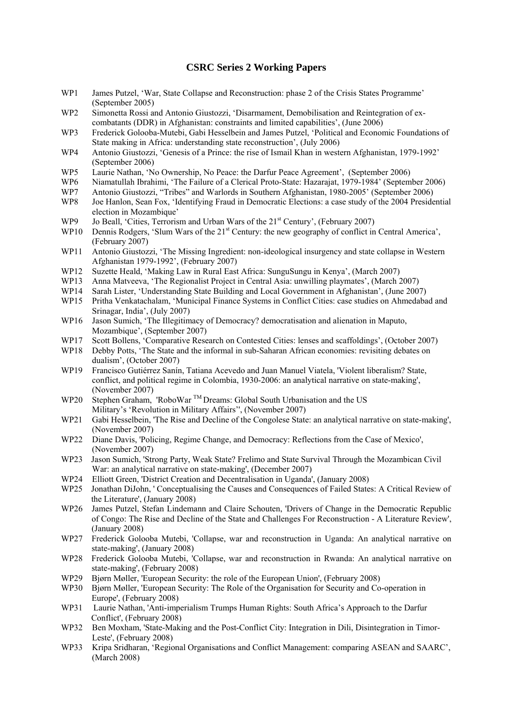#### **CSRC Series 2 Working Papers**

- WP1 James Putzel, 'War, State Collapse and Reconstruction: phase 2 of the Crisis States Programme' (September 2005)
- WP2 Simonetta Rossi and Antonio Giustozzi, 'Disarmament, Demobilisation and Reintegration of excombatants (DDR) in Afghanistan: constraints and limited capabilities', (June 2006)
- WP3 Frederick Golooba-Mutebi, Gabi Hesselbein and James Putzel, 'Political and Economic Foundations of State making in Africa: understanding state reconstruction', (July 2006)
- WP4 Antonio Giustozzi, 'Genesis of a Prince: the rise of Ismail Khan in western Afghanistan, 1979-1992' (September 2006)
- WP5 Laurie Nathan, 'No Ownership, No Peace: the Darfur Peace Agreement', (September 2006)
- WP6 Niamatullah Ibrahimi, 'The Failure of a Clerical Proto-State: Hazarajat, 1979-1984' (September 2006)
- WP7 Antonio Giustozzi, "Tribes" and Warlords in Southern Afghanistan, 1980-2005' (September 2006)
- WP8 Joe Hanlon, Sean Fox, 'Identifying Fraud in Democratic Elections: a case study of the 2004 Presidential election in Mozambique'
- WP9 Jo Beall, 'Cities, Terrorism and Urban Wars of the 21<sup>st</sup> Century', (February 2007)
- WP10 Dennis Rodgers, 'Slum Wars of the 21<sup>st</sup> Century: the new geography of conflict in Central America', (February 2007)
- WP11 Antonio Giustozzi, 'The Missing Ingredient: non-ideological insurgency and state collapse in Western Afghanistan 1979-1992', (February 2007)
- WP12 Suzette Heald, 'Making Law in Rural East Africa: SunguSungu in Kenya', (March 2007)
- WP13 Anna Matveeva, 'The Regionalist Project in Central Asia: unwilling playmates', (March 2007)<br>WP14 Sarah Lister. 'Understanding State Building and Local Government in Afghanistan'. (June 200
- Sarah Lister, 'Understanding State Building and Local Government in Afghanistan', (June 2007)
- WP15 Pritha Venkatachalam, 'Municipal Finance Systems in Conflict Cities: case studies on Ahmedabad and Srinagar, India', (July 2007)
- WP16 Jason Sumich, 'The Illegitimacy of Democracy? democratisation and alienation in Maputo, Mozambique', (September 2007)
- WP17 Scott Bollens, 'Comparative Research on Contested Cities: lenses and scaffoldings', (October 2007)
- WP18 Debby Potts, 'The State and the informal in sub-Saharan African economies: revisiting debates on dualism', (October 2007)
- WP19 Francisco Gutiérrez Sanín, Tatiana Acevedo and Juan Manuel Viatela, 'Violent liberalism? State, conflict, and political regime in Colombia, 1930-2006: an analytical narrative on state-making', (November 2007)
- WP20 Stephen Graham, 'RoboWar<sup>™</sup> Dreams: Global South Urbanisation and the US Military's 'Revolution in Military Affairs'', (November 2007)
- WP21 Gabi Hesselbein, 'The Rise and Decline of the Congolese State: an analytical narrative on state-making', (November 2007)
- WP22 Diane Davis, 'Policing, Regime Change, and Democracy: Reflections from the Case of Mexico', (November 2007)
- WP23 Jason Sumich, 'Strong Party, Weak State? Frelimo and State Survival Through the Mozambican Civil War: an analytical narrative on state-making', (December 2007)
- WP24 Elliott Green, 'District Creation and Decentralisation in Uganda', (January 2008)
- WP25 Jonathan DiJohn, ' Conceptualising the Causes and Consequences of Failed States: A Critical Review of the Literature', (January 2008)
- WP26 James Putzel, Stefan Lindemann and Claire Schouten, 'Drivers of Change in the Democratic Republic of Congo: The Rise and Decline of the State and Challenges For Reconstruction - A Literature Review', (January 2008)
- WP27 Frederick Golooba Mutebi, 'Collapse, war and reconstruction in Uganda: An analytical narrative on state-making', (January 2008)
- WP28 Frederick Golooba Mutebi, 'Collapse, war and reconstruction in Rwanda: An analytical narrative on state-making', (February 2008)
- WP29 Bjørn Møller, 'European Security: the role of the European Union', (February 2008)
- WP30 Bjørn Møller, 'European Security: The Role of the Organisation for Security and Co-operation in Europe', (February 2008)
- WP31 Laurie Nathan, 'Anti-imperialism Trumps Human Rights: South Africa's Approach to the Darfur Conflict', (February 2008)
- WP32 Ben Moxham, 'State-Making and the Post-Conflict City: Integration in Dili, Disintegration in Timor-Leste', (February 2008)
- WP33 Kripa Sridharan, 'Regional Organisations and Conflict Management: comparing ASEAN and SAARC', (March 2008)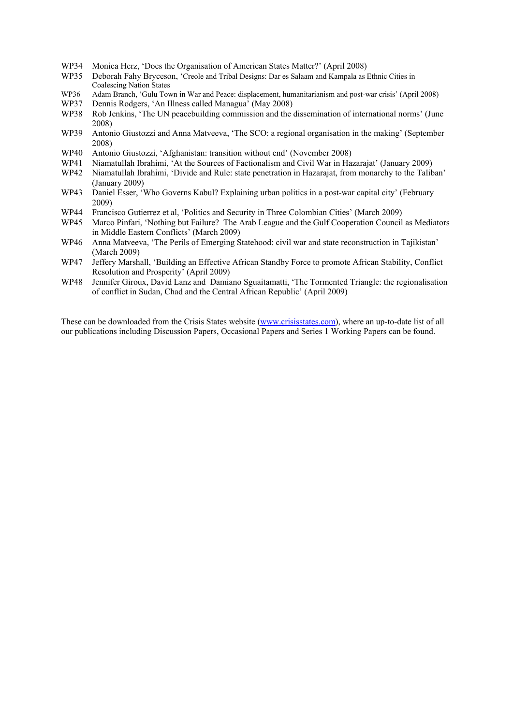- WP34 Monica Herz, 'Does the Organisation of American States Matter?' (April 2008)
- WP35 Deborah Fahy Bryceson, 'Creole and Tribal Designs: Dar es Salaam and Kampala as Ethnic Cities in Coalescing Nation States
- WP36 Adam Branch, 'Gulu Town in War and Peace: displacement, humanitarianism and post-war crisis' (April 2008)
- WP37 Dennis Rodgers, 'An Illness called Managua' (May 2008)
- WP38 Rob Jenkins, 'The UN peacebuilding commission and the dissemination of international norms' (June 2008)
- WP39 Antonio Giustozzi and Anna Matveeva, 'The SCO: a regional organisation in the making' (September 2008)
- WP40 Antonio Giustozzi, 'Afghanistan: transition without end' (November 2008)
- WP41 Niamatullah Ibrahimi, 'At the Sources of Factionalism and Civil War in Hazarajat' (January 2009)
- WP42 Niamatullah Ibrahimi, 'Divide and Rule: state penetration in Hazarajat, from monarchy to the Taliban' (January 2009)
- WP43 Daniel Esser, 'Who Governs Kabul? Explaining urban politics in a post-war capital city' (February 2009)
- WP44 Francisco Gutierrez et al, 'Politics and Security in Three Colombian Cities' (March 2009)
- WP45 Marco Pinfari, 'Nothing but Failure? The Arab League and the Gulf Cooperation Council as Mediators in Middle Eastern Conflicts' (March 2009)
- WP46 Anna Matveeva, 'The Perils of Emerging Statehood: civil war and state reconstruction in Tajikistan' (March 2009)<br>WP47 Jefferv Marsh
- Jeffery Marshall, 'Building an Effective African Standby Force to promote African Stability, Conflict Resolution and Prosperity' (April 2009)
- WP48 Jennifer Giroux, David Lanz and Damiano Sguaitamatti, 'The Tormented Triangle: the regionalisation of conflict in Sudan, Chad and the Central African Republic' (April 2009)

These can be downloaded from the Crisis States website (www.crisisstates.com), where an up-to-date list of all our publications including Discussion Papers, Occasional Papers and Series 1 Working Papers can be found.